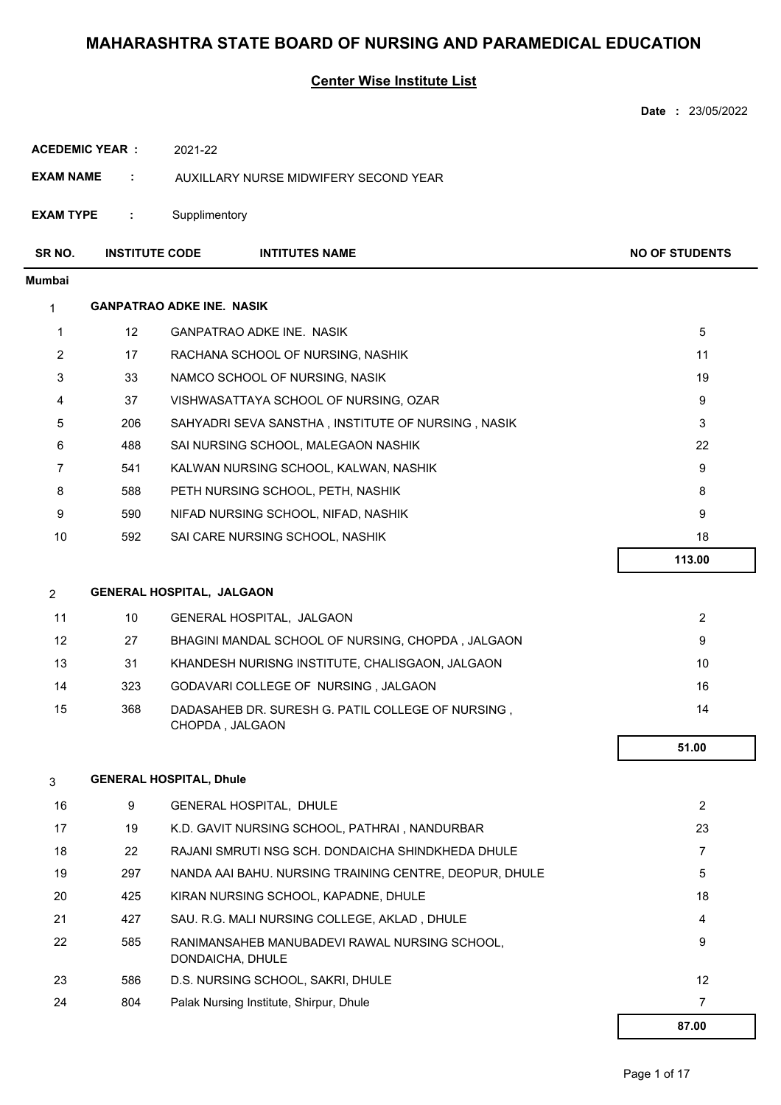### **Center Wise Institute List**

|                       |                       |                                                                      | Date: 23/05/2022      |
|-----------------------|-----------------------|----------------------------------------------------------------------|-----------------------|
| <b>ACEDEMIC YEAR:</b> |                       | 2021-22                                                              |                       |
| <b>EXAM NAME</b>      | ÷                     | AUXILLARY NURSE MIDWIFERY SECOND YEAR                                |                       |
| <b>EXAM TYPE</b>      | ÷                     | Supplimentory                                                        |                       |
| SR NO.                | <b>INSTITUTE CODE</b> | <b>INTITUTES NAME</b>                                                | <b>NO OF STUDENTS</b> |
| <b>Mumbai</b>         |                       |                                                                      |                       |
| 1                     |                       | <b>GANPATRAO ADKE INE. NASIK</b>                                     |                       |
| $\mathbf{1}$          | $12 \overline{ }$     | GANPATRAO ADKE INE. NASIK                                            | 5                     |
| 2                     | 17                    | RACHANA SCHOOL OF NURSING, NASHIK                                    | 11                    |
| 3                     | 33                    | NAMCO SCHOOL OF NURSING, NASIK                                       | 19                    |
| 4                     | 37                    | VISHWASATTAYA SCHOOL OF NURSING, OZAR                                | 9                     |
| 5                     | 206                   | SAHYADRI SEVA SANSTHA, INSTITUTE OF NURSING, NASIK                   | 3                     |
| 6                     | 488                   | SAI NURSING SCHOOL, MALEGAON NASHIK                                  | 22                    |
| 7                     | 541                   | KALWAN NURSING SCHOOL, KALWAN, NASHIK                                | 9                     |
| 8                     | 588                   | PETH NURSING SCHOOL, PETH, NASHIK                                    | 8                     |
| 9                     | 590                   | NIFAD NURSING SCHOOL, NIFAD, NASHIK                                  | 9                     |
| 10                    | 592                   | SAI CARE NURSING SCHOOL, NASHIK                                      | 18                    |
|                       |                       |                                                                      | 113.00                |
| $\overline{2}$        |                       | <b>GENERAL HOSPITAL, JALGAON</b>                                     |                       |
| 11                    | 10                    | GENERAL HOSPITAL, JALGAON                                            | $\overline{2}$        |
| 12                    | 27                    | BHAGINI MANDAL SCHOOL OF NURSING, CHOPDA, JALGAON                    | 9                     |
| 13                    | 31                    | KHANDESH NURISNG INSTITUTE, CHALISGAON, JALGAON                      | 10                    |
| 14                    | 323                   | GODAVARI COLLEGE OF NURSING, JALGAON                                 | 16                    |
| 15                    | 368                   | DADASAHEB DR. SURESH G. PATIL COLLEGE OF NURSING,<br>CHOPDA, JALGAON | 14                    |
|                       |                       |                                                                      | 51.00                 |
| 3                     |                       | <b>GENERAL HOSPITAL, Dhule</b>                                       |                       |
| 16                    | 9                     | GENERAL HOSPITAL, DHULE                                              | $\overline{2}$        |
| 17                    | 19                    | K.D. GAVIT NURSING SCHOOL, PATHRAI, NANDURBAR                        | 23                    |
| 18                    | 22                    | RAJANI SMRUTI NSG SCH. DONDAICHA SHINDKHEDA DHULE                    | $\overline{7}$        |
| 19                    | 297                   | NANDA AAI BAHU. NURSING TRAINING CENTRE, DEOPUR, DHULE               | 5                     |
| 20                    | 425                   | KIRAN NURSING SCHOOL, KAPADNE, DHULE                                 | 18                    |
| 21                    | 427                   | SAU. R.G. MALI NURSING COLLEGE, AKLAD, DHULE                         | 4                     |
| 22                    | 585                   | RANIMANSAHEB MANUBADEVI RAWAL NURSING SCHOOL,<br>DONDAICHA, DHULE    | 9                     |
| 23                    | 586                   | D.S. NURSING SCHOOL, SAKRI, DHULE                                    | 12                    |
| 24                    | 804                   | Palak Nursing Institute, Shirpur, Dhule                              | 7                     |
|                       |                       |                                                                      | 87.00                 |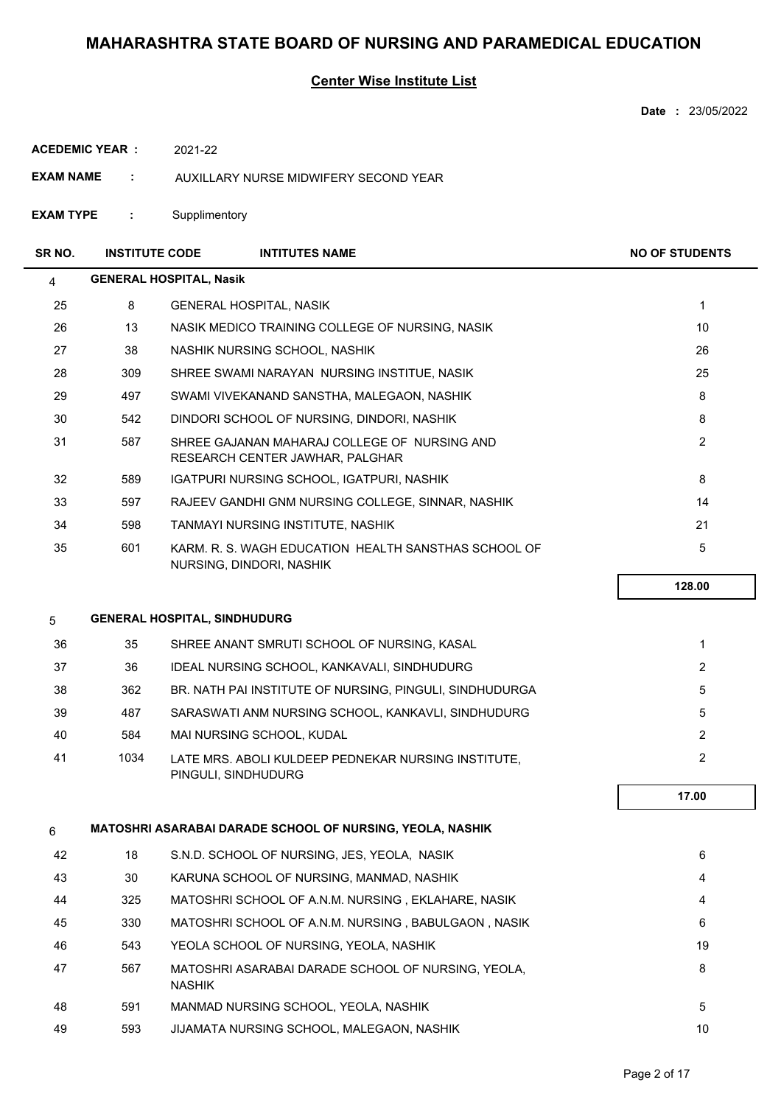### **Center Wise Institute List**

|                  |                       |                                     |                                                                                  | Date: 23/05/2022      |
|------------------|-----------------------|-------------------------------------|----------------------------------------------------------------------------------|-----------------------|
|                  | <b>ACEDEMIC YEAR:</b> | 2021-22                             |                                                                                  |                       |
| <b>EXAM NAME</b> | ÷                     |                                     | AUXILLARY NURSE MIDWIFERY SECOND YEAR                                            |                       |
| <b>EXAM TYPE</b> | ÷                     | Supplimentory                       |                                                                                  |                       |
| SR NO.           | <b>INSTITUTE CODE</b> |                                     | <b>INTITUTES NAME</b>                                                            | <b>NO OF STUDENTS</b> |
| 4                |                       | <b>GENERAL HOSPITAL, Nasik</b>      |                                                                                  |                       |
| 25               | 8                     |                                     | <b>GENERAL HOSPITAL, NASIK</b>                                                   | $\mathbf{1}$          |
| 26               | 13                    |                                     | NASIK MEDICO TRAINING COLLEGE OF NURSING, NASIK                                  | 10                    |
| 27               | 38                    |                                     | NASHIK NURSING SCHOOL, NASHIK                                                    | 26                    |
| 28               | 309                   |                                     | SHREE SWAMI NARAYAN NURSING INSTITUE, NASIK                                      | 25                    |
| 29               | 497                   |                                     | SWAMI VIVEKANAND SANSTHA, MALEGAON, NASHIK                                       | 8                     |
| 30               | 542                   |                                     | DINDORI SCHOOL OF NURSING, DINDORI, NASHIK                                       | 8                     |
| 31               | 587                   |                                     | SHREE GAJANAN MAHARAJ COLLEGE OF NURSING AND<br>RESEARCH CENTER JAWHAR, PALGHAR  | $\overline{2}$        |
| 32               | 589                   |                                     | IGATPURI NURSING SCHOOL, IGATPURI, NASHIK                                        | 8                     |
| 33               | 597                   |                                     | RAJEEV GANDHI GNM NURSING COLLEGE, SINNAR, NASHIK                                | 14                    |
| 34               | 598                   |                                     | TANMAYI NURSING INSTITUTE, NASHIK                                                | 21                    |
| 35               | 601                   |                                     | KARM, R. S. WAGH EDUCATION HEALTH SANSTHAS SCHOOL OF<br>NURSING, DINDORI, NASHIK | 5                     |
|                  |                       |                                     |                                                                                  | 128.00                |
| 5                |                       | <b>GENERAL HOSPITAL, SINDHUDURG</b> |                                                                                  |                       |
| 36               | 35                    |                                     | SHREE ANANT SMRUTI SCHOOL OF NURSING, KASAL                                      | 1                     |
| 37               | 36                    |                                     | IDEAL NURSING SCHOOL, KANKAVALI, SINDHUDURG                                      | $\overline{2}$        |
| 38               | 362                   |                                     | BR. NATH PAI INSTITUTE OF NURSING, PINGULI, SINDHUDURGA                          | 5                     |
| 39               | 487                   |                                     | SARASWATI ANM NURSING SCHOOL, KANKAVLI, SINDHUDURG                               | 5                     |
| 40               | 584                   |                                     | MAI NURSING SCHOOL, KUDAL                                                        | $\overline{2}$        |
| 41               | 1034                  |                                     | LATE MRS. ABOLI KULDEEP PEDNEKAR NURSING INSTITUTE,<br>PINGULI, SINDHUDURG       | $\overline{2}$        |
|                  |                       |                                     |                                                                                  | 17.00                 |
| 6                |                       |                                     | <b>MATOSHRI ASARABAI DARADE SCHOOL OF NURSING, YEOLA, NASHIK</b>                 |                       |
| 42               | 18                    |                                     | S.N.D. SCHOOL OF NURSING, JES, YEOLA, NASIK                                      | 6                     |
| 43               | 30                    |                                     | KARUNA SCHOOL OF NURSING, MANMAD, NASHIK                                         | 4                     |
| 44               | 325                   |                                     | MATOSHRI SCHOOL OF A.N.M. NURSING, EKLAHARE, NASIK                               | 4                     |
| 45               | 330                   |                                     | MATOSHRI SCHOOL OF A.N.M. NURSING, BABULGAON, NASIK                              | 6                     |
| 46               | 543                   |                                     | YEOLA SCHOOL OF NURSING, YEOLA, NASHIK                                           | 19                    |
| 47               | 567                   | <b>NASHIK</b>                       | MATOSHRI ASARABAI DARADE SCHOOL OF NURSING, YEOLA,                               | 8                     |
| 48               | 591                   |                                     | MANMAD NURSING SCHOOL, YEOLA, NASHIK                                             | 5                     |
| 49               | 593                   |                                     | JIJAMATA NURSING SCHOOL, MALEGAON, NASHIK                                        | 10                    |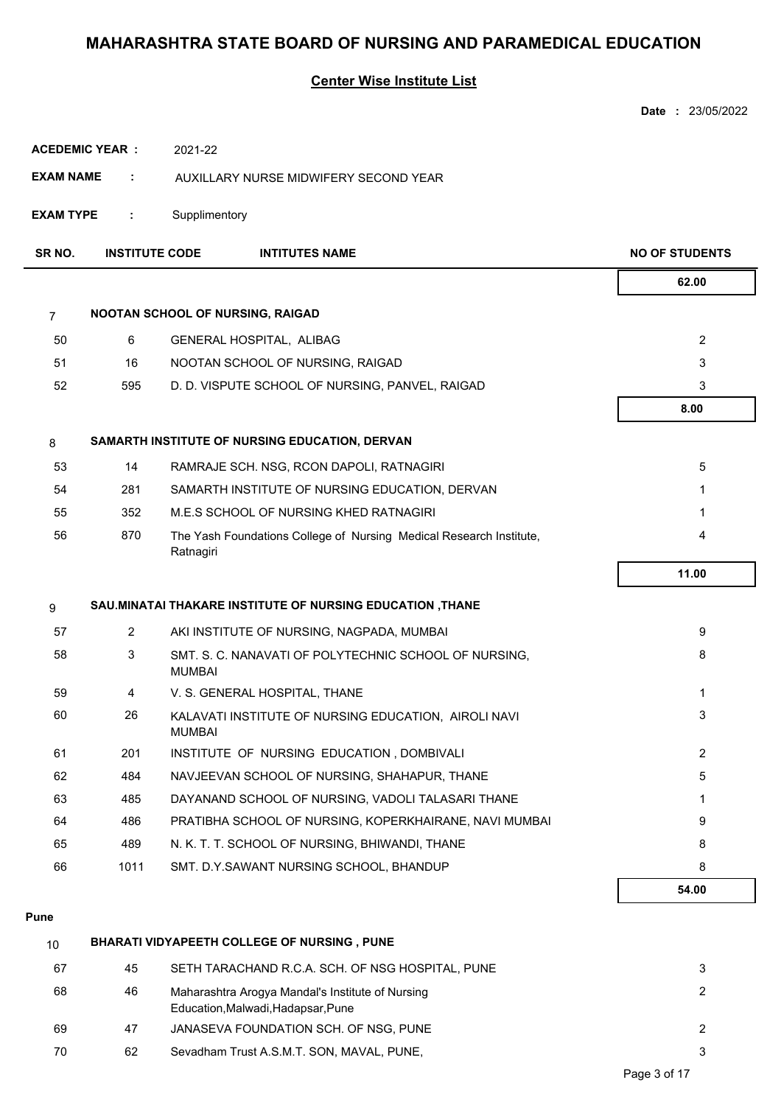## **Center Wise Institute List**

|                       |                       |                                                                                  | Date: 23/05/2022      |
|-----------------------|-----------------------|----------------------------------------------------------------------------------|-----------------------|
| <b>ACEDEMIC YEAR:</b> |                       | 2021-22                                                                          |                       |
| <b>EXAM NAME</b>      | ÷                     | AUXILLARY NURSE MIDWIFERY SECOND YEAR                                            |                       |
| <b>EXAM TYPE</b>      | ÷                     | Supplimentory                                                                    |                       |
| SR NO.                | <b>INSTITUTE CODE</b> | <b>INTITUTES NAME</b>                                                            | <b>NO OF STUDENTS</b> |
|                       |                       |                                                                                  | 62.00                 |
| $\overline{7}$        |                       | NOOTAN SCHOOL OF NURSING, RAIGAD                                                 |                       |
| 50                    | 6                     | GENERAL HOSPITAL, ALIBAG                                                         | $\overline{2}$        |
| 51                    | 16                    | NOOTAN SCHOOL OF NURSING, RAIGAD                                                 | 3                     |
| 52                    | 595                   | D. D. VISPUTE SCHOOL OF NURSING, PANVEL, RAIGAD                                  | 3                     |
|                       |                       |                                                                                  | 8.00                  |
| 8                     |                       | SAMARTH INSTITUTE OF NURSING EDUCATION, DERVAN                                   |                       |
| 53                    | 14                    | RAMRAJE SCH. NSG, RCON DAPOLI, RATNAGIRI                                         | 5                     |
| 54                    | 281                   | SAMARTH INSTITUTE OF NURSING EDUCATION, DERVAN                                   | 1                     |
| 55                    | 352                   | M.E.S SCHOOL OF NURSING KHED RATNAGIRI                                           | 1                     |
| 56                    | 870                   | The Yash Foundations College of Nursing Medical Research Institute,<br>Ratnagiri | 4                     |
|                       |                       |                                                                                  | 11.00                 |
| 9                     |                       | SAU.MINATAI THAKARE INSTITUTE OF NURSING EDUCATION, THANE                        |                       |
| 57                    | $\mathbf{2}^{\circ}$  | AKI INSTITUTE OF NURSING, NAGPADA, MUMBAI                                        | 9                     |
| 58                    | 3                     | SMT. S. C. NANAVATI OF POLYTECHNIC SCHOOL OF NURSING,<br><b>MUMBAI</b>           | 8                     |
| 59                    | 4                     | V. S. GENERAL HOSPITAL, THANE                                                    | 1                     |
| 60                    | 26                    | KALAVATI INSTITUTE OF NURSING EDUCATION, AIROLI NAVI<br><b>MUMBAI</b>            | 3                     |
| 61                    | 201                   | INSTITUTE OF NURSING EDUCATION, DOMBIVALI                                        | $\overline{2}$        |
| 62                    | 484                   | NAVJEEVAN SCHOOL OF NURSING, SHAHAPUR, THANE                                     | 5                     |
| 63                    | 485                   | DAYANAND SCHOOL OF NURSING, VADOLI TALASARI THANE                                | 1                     |
| 64                    | 486                   | PRATIBHA SCHOOL OF NURSING, KOPERKHAIRANE, NAVI MUMBAI                           | 9                     |
| 65                    | 489                   | N. K. T. T. SCHOOL OF NURSING, BHIWANDI, THANE                                   | 8                     |
| 66                    | 1011                  | SMT. D.Y.SAWANT NURSING SCHOOL, BHANDUP                                          | 8                     |
|                       |                       |                                                                                  | 54.00                 |

#### **Pune**

| 10 |    | <b>BHARATI VIDYAPEETH COLLEGE OF NURSING, PUNE</b>                                     |   |
|----|----|----------------------------------------------------------------------------------------|---|
| 67 | 45 | SETH TARACHAND R.C.A. SCH. OF NSG HOSPITAL, PUNE                                       |   |
| 68 | 46 | Maharashtra Arogya Mandal's Institute of Nursing<br>Education, Malwadi, Hadapsar, Pune | 2 |
| 69 | 47 | JANASEVA FOUNDATION SCH. OF NSG, PUNE                                                  |   |
| 70 | 62 | Sevadham Trust A.S.M.T. SON, MAVAL, PUNE,                                              |   |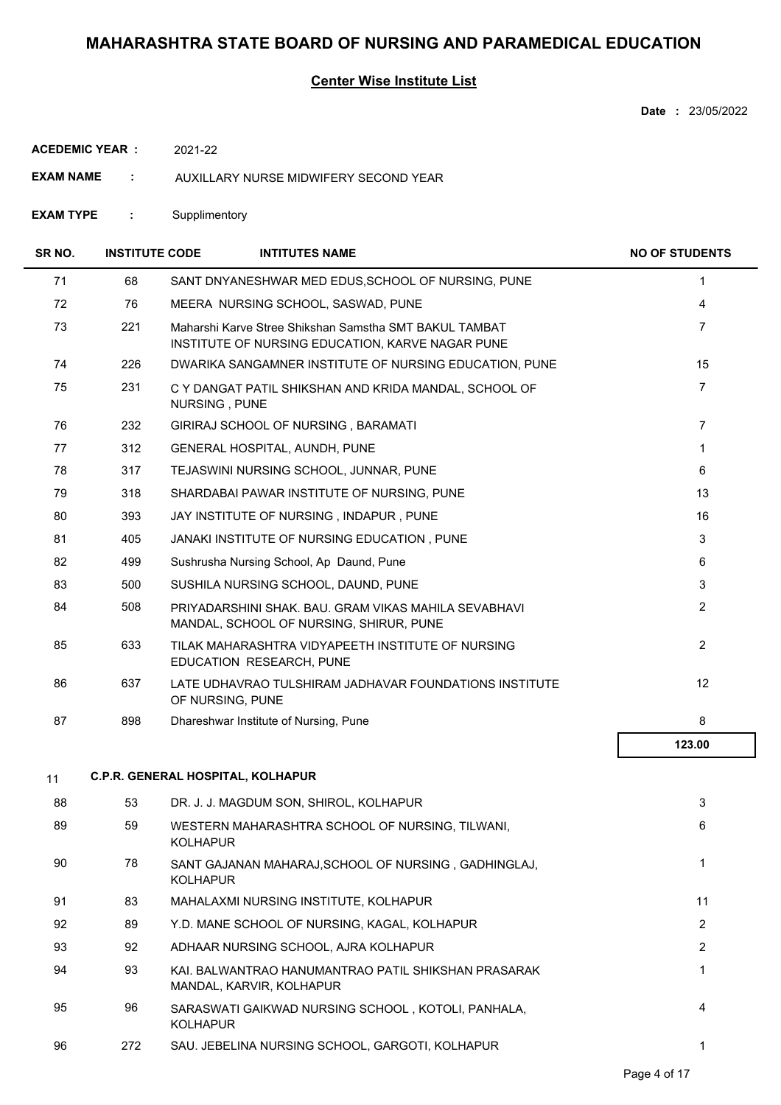### **Center Wise Institute List**

**Date :** 23/05/2022

**ACEDEMIC YEAR :** 2021-22

- **EXAM NAME :** AUXILLARY NURSE MIDWIFERY SECOND YEAR
- **EXAM TYPE :** Supplimentory

| SR NO. | <b>INSTITUTE CODE</b> | <b>INTITUTES NAME</b>                                                                                      | <b>NO OF STUDENTS</b> |
|--------|-----------------------|------------------------------------------------------------------------------------------------------------|-----------------------|
| 71     | 68                    | SANT DNYANESHWAR MED EDUS, SCHOOL OF NURSING, PUNE                                                         | 1                     |
| 72     | 76                    | MEERA NURSING SCHOOL, SASWAD, PUNE                                                                         | 4                     |
| 73     | 221                   | Maharshi Karve Stree Shikshan Samstha SMT BAKUL TAMBAT<br>INSTITUTE OF NURSING EDUCATION, KARVE NAGAR PUNE | $\overline{7}$        |
| 74     | 226                   | DWARIKA SANGAMNER INSTITUTE OF NURSING EDUCATION, PUNE                                                     | 15                    |
| 75     | 231                   | C Y DANGAT PATIL SHIKSHAN AND KRIDA MANDAL, SCHOOL OF<br>NURSING, PUNE                                     | 7                     |
| 76     | 232                   | GIRIRAJ SCHOOL OF NURSING, BARAMATI                                                                        | $\overline{7}$        |
| 77     | 312                   | GENERAL HOSPITAL, AUNDH, PUNE                                                                              | 1                     |
| 78     | 317                   | TEJASWINI NURSING SCHOOL, JUNNAR, PUNE                                                                     | 6                     |
| 79     | 318                   | SHARDABAI PAWAR INSTITUTE OF NURSING, PUNE                                                                 | 13                    |
| 80     | 393                   | JAY INSTITUTE OF NURSING, INDAPUR, PUNE                                                                    | 16                    |
| 81     | 405                   | JANAKI INSTITUTE OF NURSING EDUCATION, PUNE                                                                | 3                     |
| 82     | 499                   | Sushrusha Nursing School, Ap Daund, Pune                                                                   | 6                     |
| 83     | 500                   | SUSHILA NURSING SCHOOL, DAUND, PUNE                                                                        | 3                     |
| 84     | 508                   | PRIYADARSHINI SHAK, BAU, GRAM VIKAS MAHILA SEVABHAVI<br>MANDAL, SCHOOL OF NURSING, SHIRUR, PUNE            | $\overline{c}$        |
| 85     | 633                   | TILAK MAHARASHTRA VIDYAPEETH INSTITUTE OF NURSING<br>EDUCATION RESEARCH, PUNE                              | $\overline{2}$        |
| 86     | 637                   | LATE UDHAVRAO TULSHIRAM JADHAVAR FOUNDATIONS INSTITUTE<br>OF NURSING, PUNE                                 | 12                    |
| 87     | 898                   | Dhareshwar Institute of Nursing, Pune                                                                      | 8                     |
|        |                       |                                                                                                            | 123.00                |
| 11     |                       | <b>C.P.R. GENERAL HOSPITAL, KOLHAPUR</b>                                                                   |                       |
| 88     | 53                    | DR. J. J. MAGDUM SON, SHIROL, KOLHAPUR                                                                     | 3                     |
| 89     | 59                    | WESTERN MAHARASHTRA SCHOOL OF NURSING, TILWANI,<br><b>KOLHAPUR</b>                                         | 6                     |
| 90     | 78                    | SANT GAJANAN MAHARAJ, SCHOOL OF NURSING, GADHINGLAJ,<br><b>KOLHAPUR</b>                                    | 1                     |
| 91     | 83                    | MAHALAXMI NURSING INSTITUTE, KOLHAPUR                                                                      | 11                    |
| 92     | 89                    | Y.D. MANE SCHOOL OF NURSING, KAGAL, KOLHAPUR                                                               | $\overline{2}$        |
| 93     | 92                    | ADHAAR NURSING SCHOOL, AJRA KOLHAPUR                                                                       | $\overline{2}$        |
| 94     | 93                    | KAI. BALWANTRAO HANUMANTRAO PATIL SHIKSHAN PRASARAK<br>MANDAL, KARVIR, KOLHAPUR                            | 1                     |
| 95     | 96                    | SARASWATI GAIKWAD NURSING SCHOOL, KOTOLI, PANHALA,<br><b>KOLHAPUR</b>                                      | 4                     |
| 96     | 272                   | SAU. JEBELINA NURSING SCHOOL, GARGOTI, KOLHAPUR                                                            | 1                     |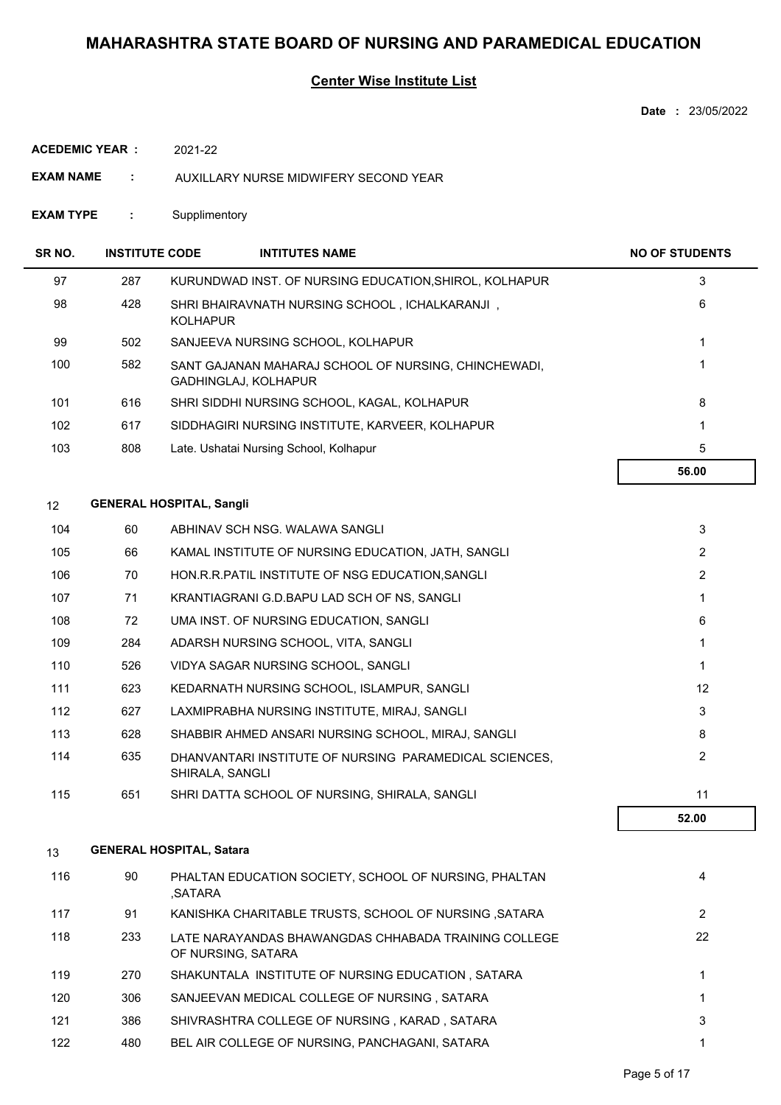### **Center Wise Institute List**

**Date :** 23/05/2022

**ACEDEMIC YEAR :** 2021-22

- **EXAM NAME :** AUXILLARY NURSE MIDWIFERY SECOND YEAR
- **EXAM TYPE :** Supplimentory

| SR <sub>NO</sub> . | <b>INSTITUTE CODE</b> | <b>INTITUTES NAME</b>                                                        | <b>NO OF STUDENTS</b> |
|--------------------|-----------------------|------------------------------------------------------------------------------|-----------------------|
| 97                 | 287                   | KURUNDWAD INST. OF NURSING EDUCATION, SHIROL, KOLHAPUR                       | 3                     |
| 98                 | 428                   | SHRI BHAIRAVNATH NURSING SCHOOL, ICHALKARANJI,<br><b>KOLHAPUR</b>            | 6                     |
| 99                 | 502                   | SANJEEVA NURSING SCHOOL, KOLHAPUR                                            |                       |
| 100                | 582                   | SANT GAJANAN MAHARAJ SCHOOL OF NURSING, CHINCHEWADI,<br>GADHINGLAJ, KOLHAPUR |                       |
| 101                | 616                   | SHRI SIDDHI NURSING SCHOOL, KAGAL, KOLHAPUR                                  | 8                     |
| 102                | 617                   | SIDDHAGIRI NURSING INSTITUTE, KARVEER, KOLHAPUR                              |                       |
| 103                | 808                   | Late. Ushatai Nursing School, Kolhapur                                       | 5                     |
|                    |                       |                                                                              | 56.00                 |

### 12 **GENERAL HOSPITAL, Sangli**

|     |     |                                                                           | 52.00           |
|-----|-----|---------------------------------------------------------------------------|-----------------|
| 115 | 651 | SHRI DATTA SCHOOL OF NURSING, SHIRALA, SANGLI                             | 11              |
| 114 | 635 | DHANVANTARI INSTITUTE OF NURSING PARAMEDICAL SCIENCES.<br>SHIRALA, SANGLI | $\overline{2}$  |
| 113 | 628 | SHABBIR AHMED ANSARI NURSING SCHOOL, MIRAJ, SANGLI                        | 8               |
| 112 | 627 | LAXMIPRABHA NURSING INSTITUTE, MIRAJ, SANGLI                              | 3               |
| 111 | 623 | KEDARNATH NURSING SCHOOL, ISLAMPUR, SANGLI                                | 12 <sup>2</sup> |
| 110 | 526 | VIDYA SAGAR NURSING SCHOOL, SANGLI                                        |                 |
| 109 | 284 | ADARSH NURSING SCHOOL, VITA, SANGLI                                       |                 |
| 108 | 72  | UMA INST. OF NURSING EDUCATION, SANGLI                                    | 6               |
| 107 | 71  | KRANTIAGRANI G.D.BAPU LAD SCH OF NS, SANGLI                               |                 |
| 106 | 70  | HON.R.R.PATIL INSTITUTE OF NSG EDUCATION, SANGLI                          | $\overline{2}$  |
| 105 | 66  | KAMAL INSTITUTE OF NURSING EDUCATION, JATH, SANGLI                        | $\overline{2}$  |
| 104 | 60  | ABHINAV SCH NSG. WALAWA SANGLI                                            | 3               |

### 13 **GENERAL HOSPITAL, Satara**

| 116 | 90  | PHALTAN EDUCATION SOCIETY, SCHOOL OF NURSING, PHALTAN<br>,SATARA           | 4  |
|-----|-----|----------------------------------------------------------------------------|----|
| 117 | 91  | KANISHKA CHARITABLE TRUSTS, SCHOOL OF NURSING, SATARA                      | 2  |
| 118 | 233 | LATE NARAYANDAS BHAWANGDAS CHHABADA TRAINING COLLEGE<br>OF NURSING, SATARA | 22 |
| 119 | 270 | SHAKUNTALA INSTITUTE OF NURSING EDUCATION, SATARA                          |    |
| 120 | 306 | SANJEEVAN MEDICAL COLLEGE OF NURSING, SATARA                               |    |
| 121 | 386 | SHIVRASHTRA COLLEGE OF NURSING . KARAD . SATARA                            | 3  |
| 122 | 480 | BEL AIR COLLEGE OF NURSING, PANCHAGANI, SATARA                             |    |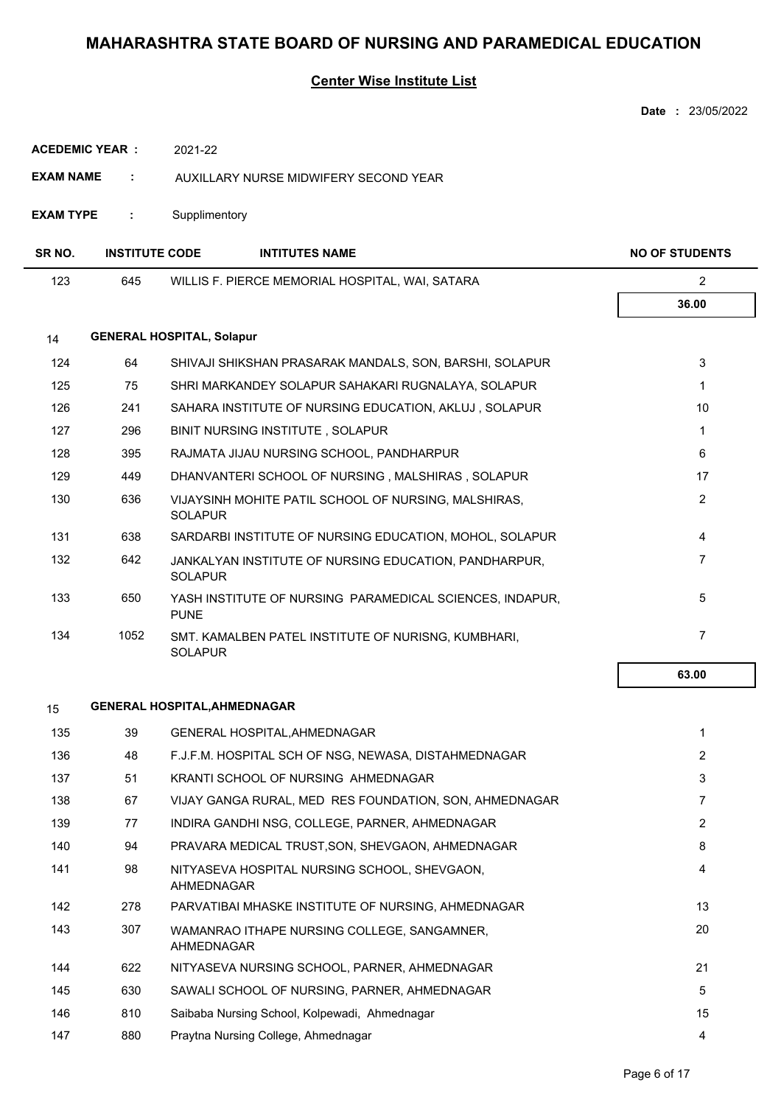### **Center Wise Institute List**

|                       |                       |                                                                         | <b>Date: 23/05/2022</b> |
|-----------------------|-----------------------|-------------------------------------------------------------------------|-------------------------|
| <b>ACEDEMIC YEAR:</b> |                       | 2021-22                                                                 |                         |
| <b>EXAM NAME</b>      | ÷                     | AUXILLARY NURSE MIDWIFERY SECOND YEAR                                   |                         |
| <b>EXAM TYPE</b>      | ÷                     | Supplimentory                                                           |                         |
| SR NO.                | <b>INSTITUTE CODE</b> | <b>INTITUTES NAME</b>                                                   | <b>NO OF STUDENTS</b>   |
| 123                   | 645                   | WILLIS F. PIERCE MEMORIAL HOSPITAL, WAI, SATARA                         | $\overline{2}$          |
|                       |                       |                                                                         | 36.00                   |
| 14                    |                       | <b>GENERAL HOSPITAL, Solapur</b>                                        |                         |
| 124                   | 64                    | SHIVAJI SHIKSHAN PRASARAK MANDALS, SON, BARSHI, SOLAPUR                 | 3                       |
| 125                   | 75                    | SHRI MARKANDEY SOLAPUR SAHAKARI RUGNALAYA, SOLAPUR                      | $\mathbf{1}$            |
| 126                   | 241                   | SAHARA INSTITUTE OF NURSING EDUCATION, AKLUJ, SOLAPUR                   | 10                      |
| 127                   | 296                   | BINIT NURSING INSTITUTE, SOLAPUR                                        | $\mathbf{1}$            |
| 128                   | 395                   | RAJMATA JIJAU NURSING SCHOOL, PANDHARPUR                                | 6                       |
| 129                   | 449                   | DHANVANTERI SCHOOL OF NURSING, MALSHIRAS, SOLAPUR                       | 17                      |
| 130                   | 636                   | VIJAYSINH MOHITE PATIL SCHOOL OF NURSING, MALSHIRAS,<br><b>SOLAPUR</b>  | $\overline{2}$          |
| 131                   | 638                   | SARDARBI INSTITUTE OF NURSING EDUCATION, MOHOL, SOLAPUR                 | 4                       |
| 132                   | 642                   | JANKALYAN INSTITUTE OF NURSING EDUCATION, PANDHARPUR,<br><b>SOLAPUR</b> | 7                       |
| 133                   | 650                   | YASH INSTITUTE OF NURSING PARAMEDICAL SCIENCES, INDAPUR,<br><b>PUNE</b> | 5                       |
| 134                   | 1052                  | SMT. KAMALBEN PATEL INSTITUTE OF NURISNG, KUMBHARI,<br><b>SOLAPUR</b>   | $\overline{7}$          |
|                       |                       |                                                                         | 63.00                   |
| 15                    |                       | <b>GENERAL HOSPITAL, AHMEDNAGAR</b>                                     |                         |
| 135                   | 39                    | GENERAL HOSPITAL, AHMEDNAGAR                                            | $\mathbf{1}$            |
| 136                   | 48                    | F.J.F.M. HOSPITAL SCH OF NSG, NEWASA, DISTAHMEDNAGAR                    | $\overline{2}$          |
| 137                   | 51                    | KRANTI SCHOOL OF NURSING AHMEDNAGAR                                     | 3                       |
| 138                   | 67                    | VIJAY GANGA RURAL, MED RES FOUNDATION, SON, AHMEDNAGAR                  | $\overline{7}$          |
| 139                   | 77                    | INDIRA GANDHI NSG, COLLEGE, PARNER, AHMEDNAGAR                          | $\overline{2}$          |
| 140                   | 94                    | PRAVARA MEDICAL TRUST, SON, SHEVGAON, AHMEDNAGAR                        | 8                       |
| 141                   | 98                    | NITYASEVA HOSPITAL NURSING SCHOOL, SHEVGAON,<br>AHMEDNAGAR              | 4                       |
| 142                   | 278                   | PARVATIBAI MHASKE INSTITUTE OF NURSING, AHMEDNAGAR                      | 13                      |
| 143                   | 307                   | WAMANRAO ITHAPE NURSING COLLEGE, SANGAMNER,<br><b>AHMEDNAGAR</b>        | 20                      |
| 144                   | 622                   | NITYASEVA NURSING SCHOOL, PARNER, AHMEDNAGAR                            | 21                      |
| 145                   | 630                   | SAWALI SCHOOL OF NURSING, PARNER, AHMEDNAGAR                            | 5                       |
| 146                   | 810                   | Saibaba Nursing School, Kolpewadi, Ahmednagar                           | 15                      |

147 880 Praytna Nursing College, Ahmednagar 4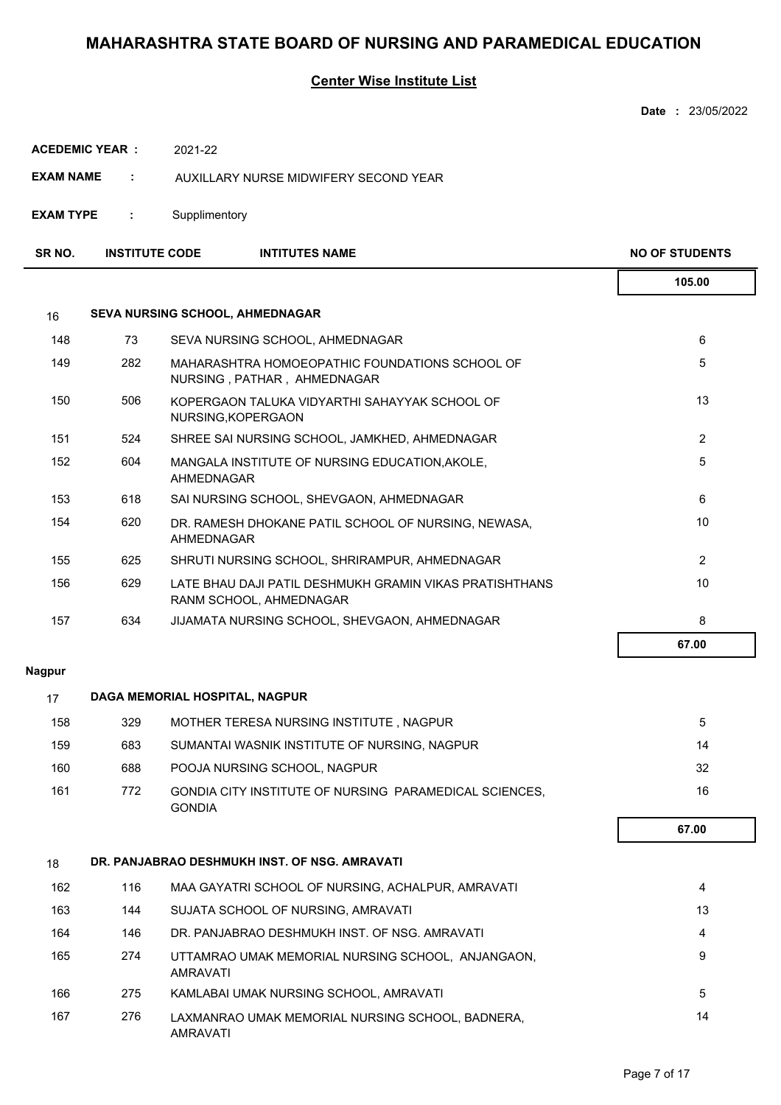### **Center Wise Institute List**

| Date | 23/05/2022 |
|------|------------|
|      |            |

| <b>ACEDEMIC YEAR :</b> | 2021-22 |
|------------------------|---------|
|------------------------|---------|

- **EXAM NAME :** AUXILLARY NURSE MIDWIFERY SECOND YEAR
- **EXAM TYPE :** Supplimentory

| SR <sub>NO</sub> | <b>INSTITUTE CODE</b> | <b>INTITUTES NAME</b> | <b>NO OF STUDENTS</b> |
|------------------|-----------------------|-----------------------|-----------------------|
|                  |                       |                       | 105.00                |

| 16  |     | <b>SEVA NURSING SCHOOL, AHMEDNAGAR</b>                                             |                |
|-----|-----|------------------------------------------------------------------------------------|----------------|
| 148 | 73  | SEVA NURSING SCHOOL, AHMEDNAGAR                                                    | 6              |
| 149 | 282 | MAHARASHTRA HOMOEOPATHIC FOUNDATIONS SCHOOL OF<br>NURSING, PATHAR, AHMEDNAGAR      | 5              |
| 150 | 506 | KOPERGAON TALUKA VIDYARTHI SAHAYYAK SCHOOL OF<br>NURSING, KOPERGAON                | 13             |
| 151 | 524 | SHREE SAI NURSING SCHOOL, JAMKHED, AHMEDNAGAR                                      | $\overline{2}$ |
| 152 | 604 | MANGALA INSTITUTE OF NURSING EDUCATION, AKOLE,<br>AHMEDNAGAR                       | 5              |
| 153 | 618 | SAI NURSING SCHOOL, SHEVGAON, AHMEDNAGAR                                           | 6              |
| 154 | 620 | DR. RAMESH DHOKANE PATIL SCHOOL OF NURSING, NEWASA,<br>AHMEDNAGAR                  | 10             |
| 155 | 625 | SHRUTI NURSING SCHOOL, SHRIRAMPUR, AHMEDNAGAR                                      | $\overline{2}$ |
| 156 | 629 | LATE BHAU DAJI PATIL DESHMUKH GRAMIN VIKAS PRATISHTHANS<br>RANM SCHOOL, AHMEDNAGAR | 10             |
| 157 | 634 | JIJAMATA NURSING SCHOOL, SHEVGAON, AHMEDNAGAR                                      | 8              |
|     |     |                                                                                    | 67.00          |

#### **Nagpur**

| 17  | DAGA MEMORIAL HOSPITAL, NAGPUR |                                                                                |       |  |  |  |
|-----|--------------------------------|--------------------------------------------------------------------------------|-------|--|--|--|
| 158 | 329                            | MOTHER TERESA NURSING INSTITUTE, NAGPUR                                        | 5     |  |  |  |
| 159 | 683                            | SUMANTAI WASNIK INSTITUTE OF NURSING, NAGPUR                                   | 14    |  |  |  |
| 160 | 688                            | POOJA NURSING SCHOOL, NAGPUR                                                   | 32    |  |  |  |
| 161 | 772                            | <b>GONDIA CITY INSTITUTE OF NURSING PARAMEDICAL SCIENCES.</b><br><b>GONDIA</b> | 16    |  |  |  |
|     |                                |                                                                                | 67.00 |  |  |  |
| 18  |                                | DR. PANJABRAO DESHMUKH INST. OF NSG. AMRAVATI                                  |       |  |  |  |
| 162 | 116                            | MAA GAYATRI SCHOOL OF NURSING, ACHALPUR, AMRAVATI                              | 4     |  |  |  |
| 163 | 144                            | SUJATA SCHOOL OF NURSING, AMRAVATI                                             | 13    |  |  |  |
| 164 | 146                            | DR. PANJABRAO DESHMUKH INST. OF NSG. AMRAVATI                                  | 4     |  |  |  |
| 165 | 274                            | UTTAMRAO UMAK MEMORIAL NURSING SCHOOL, ANJANGAON,<br><b>AMRAVATI</b>           | 9     |  |  |  |
| 166 | 275                            | KAMLABAI UMAK NURSING SCHOOL, AMRAVATI                                         | 5     |  |  |  |
| 167 | 276                            | LAXMANRAO UMAK MEMORIAL NURSING SCHOOL, BADNERA,<br><b>AMRAVATI</b>            | 14    |  |  |  |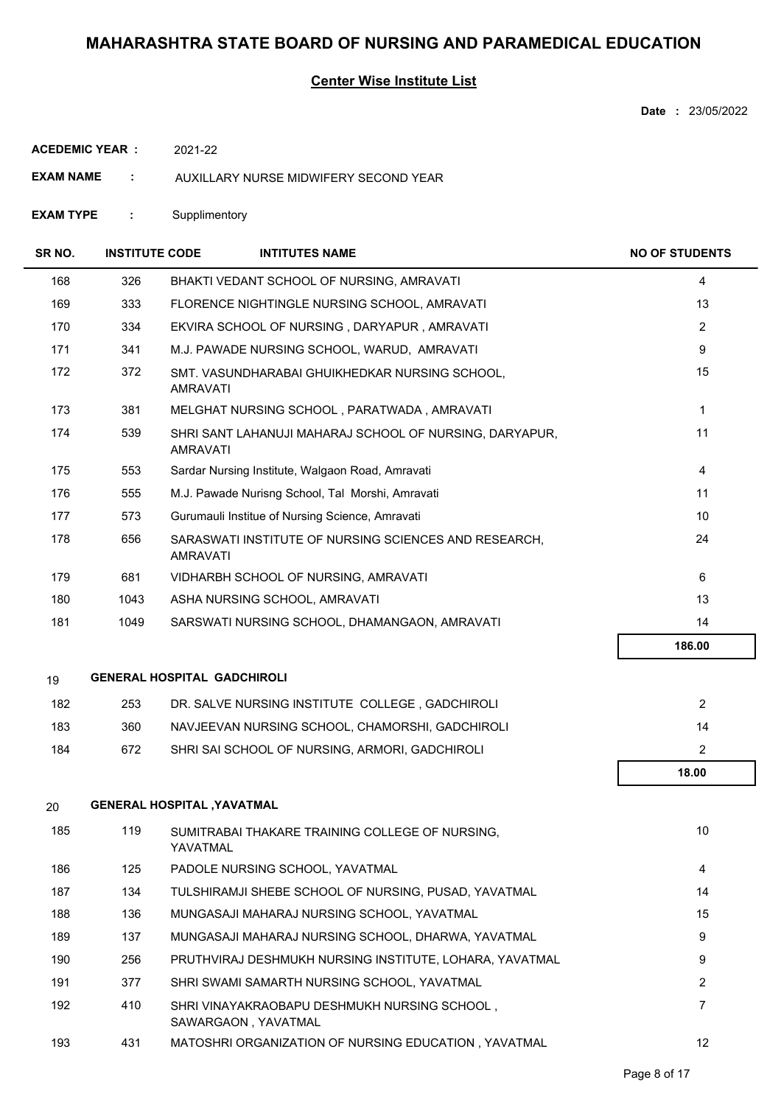### **Center Wise Institute List**

**Date :** 23/05/2022

**ACEDEMIC YEAR :** 2021-22

**EXAM NAME :** AUXILLARY NURSE MIDWIFERY SECOND YEAR

**EXAM TYPE :** Supplimentory

| SR NO. | <b>INSTITUTE CODE</b> |                                    | <b>INTITUTES NAME</b>                                               | <b>NO OF STUDENTS</b> |
|--------|-----------------------|------------------------------------|---------------------------------------------------------------------|-----------------------|
| 168    | 326                   |                                    | BHAKTI VEDANT SCHOOL OF NURSING, AMRAVATI                           | 4                     |
| 169    | 333                   |                                    | FLORENCE NIGHTINGLE NURSING SCHOOL, AMRAVATI                        | 13                    |
| 170    | 334                   |                                    | EKVIRA SCHOOL OF NURSING, DARYAPUR, AMRAVATI                        | $\overline{2}$        |
| 171    | 341                   |                                    | M.J. PAWADE NURSING SCHOOL, WARUD, AMRAVATI                         | 9                     |
| 172    | 372                   | <b>AMRAVATI</b>                    | SMT. VASUNDHARABAI GHUIKHEDKAR NURSING SCHOOL,                      | 15                    |
| 173    | 381                   |                                    | MELGHAT NURSING SCHOOL, PARATWADA, AMRAVATI                         | 1                     |
| 174    | 539                   | <b>AMRAVATI</b>                    | SHRI SANT LAHANUJI MAHARAJ SCHOOL OF NURSING, DARYAPUR,             | 11                    |
| 175    | 553                   |                                    | Sardar Nursing Institute, Walgaon Road, Amravati                    | 4                     |
| 176    | 555                   |                                    | M.J. Pawade Nurisng School, Tal Morshi, Amravati                    | 11                    |
| 177    | 573                   |                                    | Gurumauli Institue of Nursing Science, Amravati                     | 10                    |
| 178    | 656                   | <b>AMRAVATI</b>                    | SARASWATI INSTITUTE OF NURSING SCIENCES AND RESEARCH,               | 24                    |
| 179    | 681                   |                                    | VIDHARBH SCHOOL OF NURSING, AMRAVATI                                | 6                     |
| 180    | 1043                  |                                    | ASHA NURSING SCHOOL, AMRAVATI                                       | 13                    |
| 181    | 1049                  |                                    | SARSWATI NURSING SCHOOL, DHAMANGAON, AMRAVATI                       | 14                    |
|        |                       |                                    |                                                                     | 186.00                |
| 19     |                       | <b>GENERAL HOSPITAL GADCHIROLI</b> |                                                                     |                       |
| 182    | 253                   |                                    | DR. SALVE NURSING INSTITUTE COLLEGE, GADCHIROLI                     | $\overline{2}$        |
| 183    | 360                   |                                    | NAVJEEVAN NURSING SCHOOL, CHAMORSHI, GADCHIROLI                     | 14                    |
| 184    | 672                   |                                    | SHRI SAI SCHOOL OF NURSING, ARMORI, GADCHIROLI                      | $\overline{2}$        |
|        |                       |                                    |                                                                     | 18.00                 |
| 20     |                       | <b>GENERAL HOSPITAL , YAVATMAL</b> |                                                                     |                       |
| 185    | 119                   | YAVATMAL                           | SUMITRABAI THAKARE TRAINING COLLEGE OF NURSING,                     | $10$                  |
| 186    | 125                   |                                    | PADOLE NURSING SCHOOL, YAVATMAL                                     | $\overline{4}$        |
| 187    | 134                   |                                    | TULSHIRAMJI SHEBE SCHOOL OF NURSING, PUSAD, YAVATMAL                | 14                    |
| 188    | 136                   |                                    | MUNGASAJI MAHARAJ NURSING SCHOOL, YAVATMAL                          | 15                    |
| 189    | 137                   |                                    | MUNGASAJI MAHARAJ NURSING SCHOOL, DHARWA, YAVATMAL                  | 9                     |
| 190    | 256                   |                                    | PRUTHVIRAJ DESHMUKH NURSING INSTITUTE, LOHARA, YAVATMAL             | 9                     |
| 191    | 377                   |                                    | SHRI SWAMI SAMARTH NURSING SCHOOL, YAVATMAL                         | $\overline{2}$        |
| 192    | 410                   |                                    | SHRI VINAYAKRAOBAPU DESHMUKH NURSING SCHOOL,<br>SAWARGAON, YAVATMAL | $\overline{7}$        |
| 193    | 431                   |                                    | MATOSHRI ORGANIZATION OF NURSING EDUCATION, YAVATMAL                | 12                    |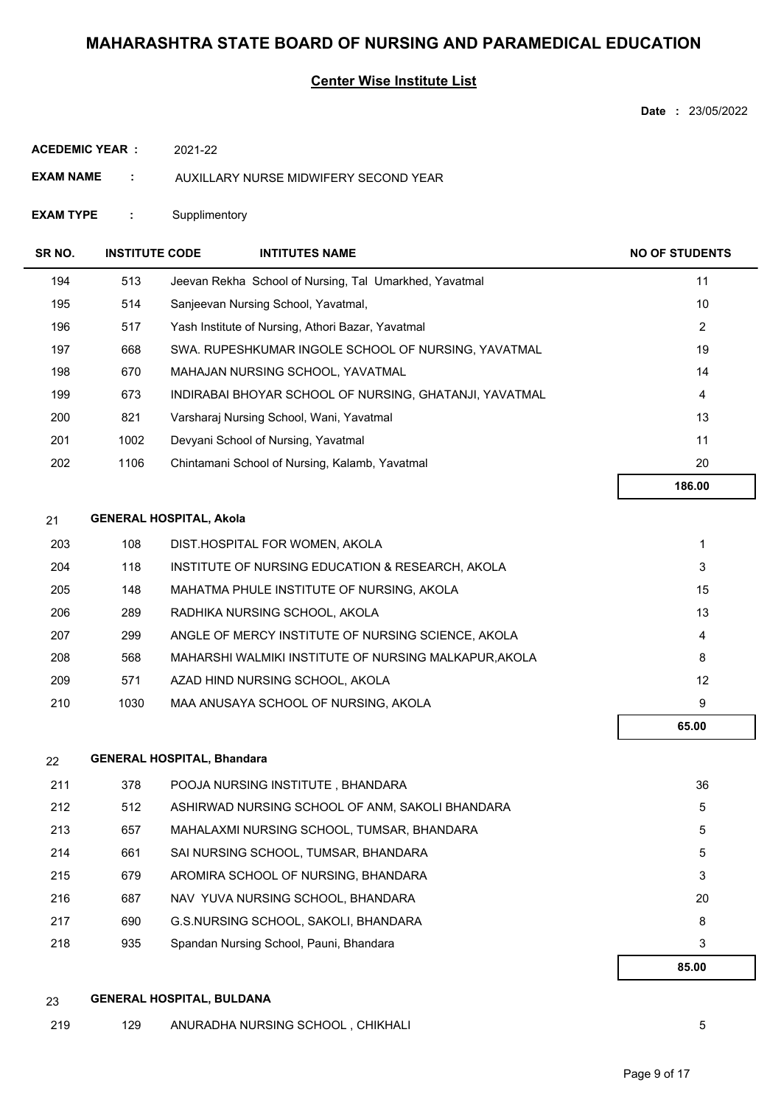### **Center Wise Institute List**

**Date :** 23/05/2022

**ACEDEMIC YEAR :** 2021-22

- **EXAM NAME :** AUXILLARY NURSE MIDWIFERY SECOND YEAR
- **EXAM TYPE :** Supplimentory

| SR NO. | <b>INSTITUTE CODE</b> | <b>INTITUTES NAME</b>                                  | <b>NO OF STUDENTS</b> |
|--------|-----------------------|--------------------------------------------------------|-----------------------|
| 194    | 513                   | Jeevan Rekha School of Nursing, Tal Umarkhed, Yavatmal | 11                    |
| 195    | 514                   | Sanjeevan Nursing School, Yavatmal,                    | 10                    |
| 196    | 517                   | Yash Institute of Nursing, Athori Bazar, Yavatmal      | 2                     |
| 197    | 668                   | SWA. RUPESHKUMAR INGOLE SCHOOL OF NURSING, YAVATMAL    | 19                    |
| 198    | 670                   | MAHAJAN NURSING SCHOOL, YAVATMAL                       | 14                    |
| 199    | 673                   | INDIRABAI BHOYAR SCHOOL OF NURSING, GHATANJI, YAVATMAL | 4                     |
| 200    | 821                   | Varsharaj Nursing School, Wani, Yavatmal               | 13                    |
| 201    | 1002                  | Devyani School of Nursing, Yavatmal                    | 11                    |
| 202    | 1106                  | Chintamani School of Nursing, Kalamb, Yavatmal         | 20                    |
|        |                       |                                                        | 186.00                |

#### 21 **GENERAL HOSPITAL, Akola**

|     |      |                                                       | 65.00 |
|-----|------|-------------------------------------------------------|-------|
| 210 | 1030 | MAA ANUSAYA SCHOOL OF NURSING, AKOLA                  | 9     |
| 209 | 571  | AZAD HIND NURSING SCHOOL, AKOLA                       | 12    |
| 208 | 568  | MAHARSHI WALMIKI INSTITUTE OF NURSING MALKAPUR, AKOLA | 8     |
| 207 | 299  | ANGLE OF MERCY INSTITUTE OF NURSING SCIENCE, AKOLA    | 4     |
| 206 | 289  | RADHIKA NURSING SCHOOL, AKOLA                         | 13    |
| 205 | 148  | MAHATMA PHULE INSTITUTE OF NURSING, AKOLA             | 15    |
| 204 | 118  | INSTITUTE OF NURSING EDUCATION & RESEARCH, AKOLA      | 3     |
| 203 | 108  | DIST.HOSPITAL FOR WOMEN, AKOLA                        |       |

| 22  |     | <b>GENERAL HOSPITAL, Bhandara</b>               |       |
|-----|-----|-------------------------------------------------|-------|
| 211 | 378 | POOJA NURSING INSTITUTE, BHANDARA               | 36    |
| 212 | 512 | ASHIRWAD NURSING SCHOOL OF ANM, SAKOLI BHANDARA | 5     |
| 213 | 657 | MAHALAXMI NURSING SCHOOL, TUMSAR, BHANDARA      | 5     |
| 214 | 661 | SAI NURSING SCHOOL, TUMSAR, BHANDARA            | 5     |
| 215 | 679 | AROMIRA SCHOOL OF NURSING, BHANDARA             | 3     |
| 216 | 687 | NAV YUVA NURSING SCHOOL, BHANDARA               | 20    |
| 217 | 690 | G.S.NURSING SCHOOL, SAKOLI, BHANDARA            | 8     |
| 218 | 935 | Spandan Nursing School, Pauni, Bhandara         | 3     |
|     |     |                                                 | 85.00 |

- 23 **GENERAL HOSPITAL, BULDANA**
- 219 129 ANURADHA NURSING SCHOOL , CHIKHALI 5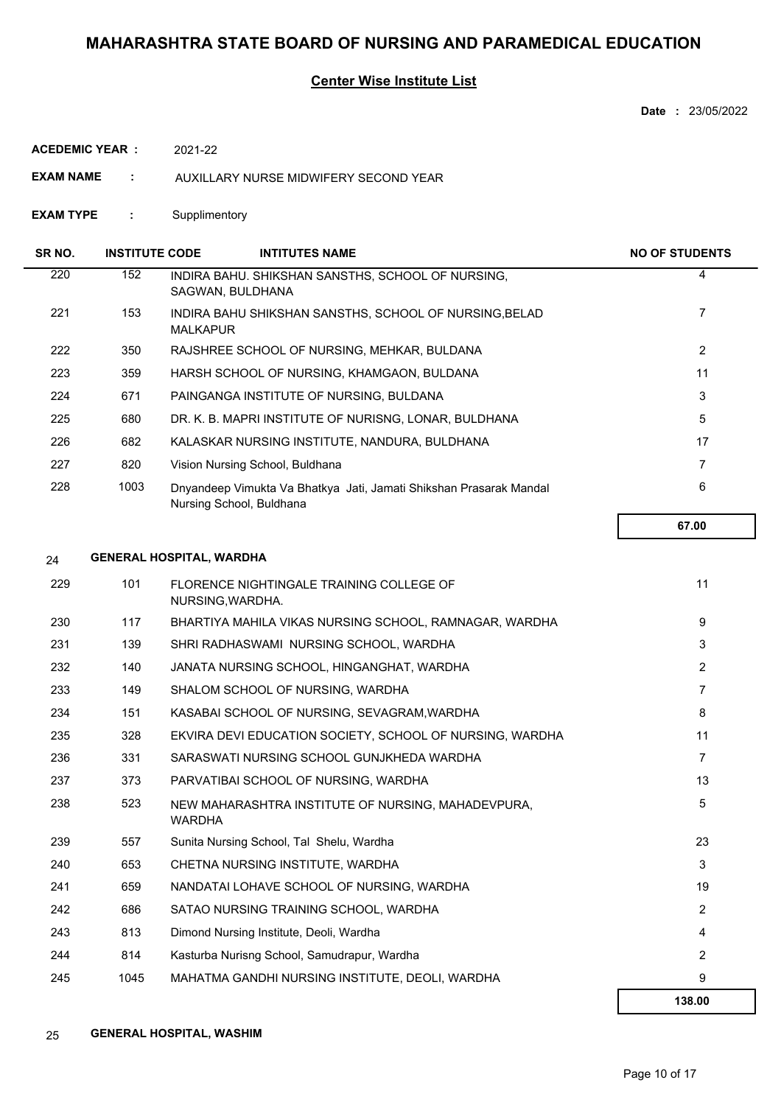### **Center Wise Institute List**

**Date :** 23/05/2022

**ACEDEMIC YEAR :** 2021-22

**EXAM NAME :** AUXILLARY NURSE MIDWIFERY SECOND YEAR

**EXAM TYPE :** Supplimentory

| SR NO. | <b>INSTITUTE CODE</b>           |                 | <b>INTITUTES NAME</b>                                                                          | <b>NO OF STUDENTS</b> |
|--------|---------------------------------|-----------------|------------------------------------------------------------------------------------------------|-----------------------|
| 220    | 152                             |                 | INDIRA BAHU. SHIKSHAN SANSTHS, SCHOOL OF NURSING,<br>SAGWAN, BULDHANA                          | 4                     |
| 221    | 153                             | <b>MALKAPUR</b> | INDIRA BAHU SHIKSHAN SANSTHS, SCHOOL OF NURSING, BELAD                                         | 7                     |
| 222    | 350                             |                 | RAJSHREE SCHOOL OF NURSING, MEHKAR, BULDANA                                                    | 2                     |
| 223    | 359                             |                 | HARSH SCHOOL OF NURSING, KHAMGAON, BULDANA                                                     | 11                    |
| 224    | 671                             |                 | PAINGANGA INSTITUTE OF NURSING, BULDANA                                                        | 3                     |
| 225    | 680                             |                 | DR. K. B. MAPRI INSTITUTE OF NURISNG, LONAR, BULDHANA                                          | 5                     |
| 226    | 682                             |                 | KALASKAR NURSING INSTITUTE, NANDURA, BULDHANA                                                  | 17                    |
| 227    | 820                             |                 | Vision Nursing School, Buldhana                                                                | 7                     |
| 228    | 1003                            |                 | Dnyandeep Vimukta Va Bhatkya Jati, Jamati Shikshan Prasarak Mandal<br>Nursing School, Buldhana | 6                     |
|        |                                 |                 |                                                                                                | 67.00                 |
| 24     | <b>GENERAL HOSPITAL, WARDHA</b> |                 |                                                                                                |                       |

|     |      |                                                                     | 138.00         |
|-----|------|---------------------------------------------------------------------|----------------|
| 245 | 1045 | MAHATMA GANDHI NURSING INSTITUTE, DEOLI, WARDHA                     | 9              |
| 244 | 814  | Kasturba Nurisng School, Samudrapur, Wardha                         | 2              |
| 243 | 813  | Dimond Nursing Institute, Deoli, Wardha                             | 4              |
| 242 | 686  | SATAO NURSING TRAINING SCHOOL, WARDHA                               | 2              |
| 241 | 659  | NANDATAI LOHAVE SCHOOL OF NURSING, WARDHA                           | 19             |
| 240 | 653  | CHETNA NURSING INSTITUTE, WARDHA                                    | 3              |
| 239 | 557  | Sunita Nursing School, Tal Shelu, Wardha                            | 23             |
| 238 | 523  | NEW MAHARASHTRA INSTITUTE OF NURSING, MAHADEVPURA,<br><b>WARDHA</b> | 5              |
| 237 | 373  | PARVATIBAI SCHOOL OF NURSING, WARDHA                                | 13             |
| 236 | 331  | SARASWATI NURSING SCHOOL GUNJKHEDA WARDHA                           | $\overline{7}$ |
| 235 | 328  | EKVIRA DEVI EDUCATION SOCIETY, SCHOOL OF NURSING, WARDHA            | 11             |
| 234 | 151  | KASABAI SCHOOL OF NURSING, SEVAGRAM, WARDHA                         | 8              |
| 233 | 149  | SHALOM SCHOOL OF NURSING, WARDHA                                    | $\overline{7}$ |
| 232 | 140  | JANATA NURSING SCHOOL. HINGANGHAT. WARDHA                           | 2              |
| 231 | 139  | SHRI RADHASWAMI NURSING SCHOOL, WARDHA                              | 3              |
| 230 | 117  | BHARTIYA MAHILA VIKAS NURSING SCHOOL, RAMNAGAR, WARDHA              | 9              |
| 229 | 101  | FLORENCE NIGHTINGALE TRAINING COLLEGE OF<br>NURSING, WARDHA.        | 11             |
|     |      |                                                                     |                |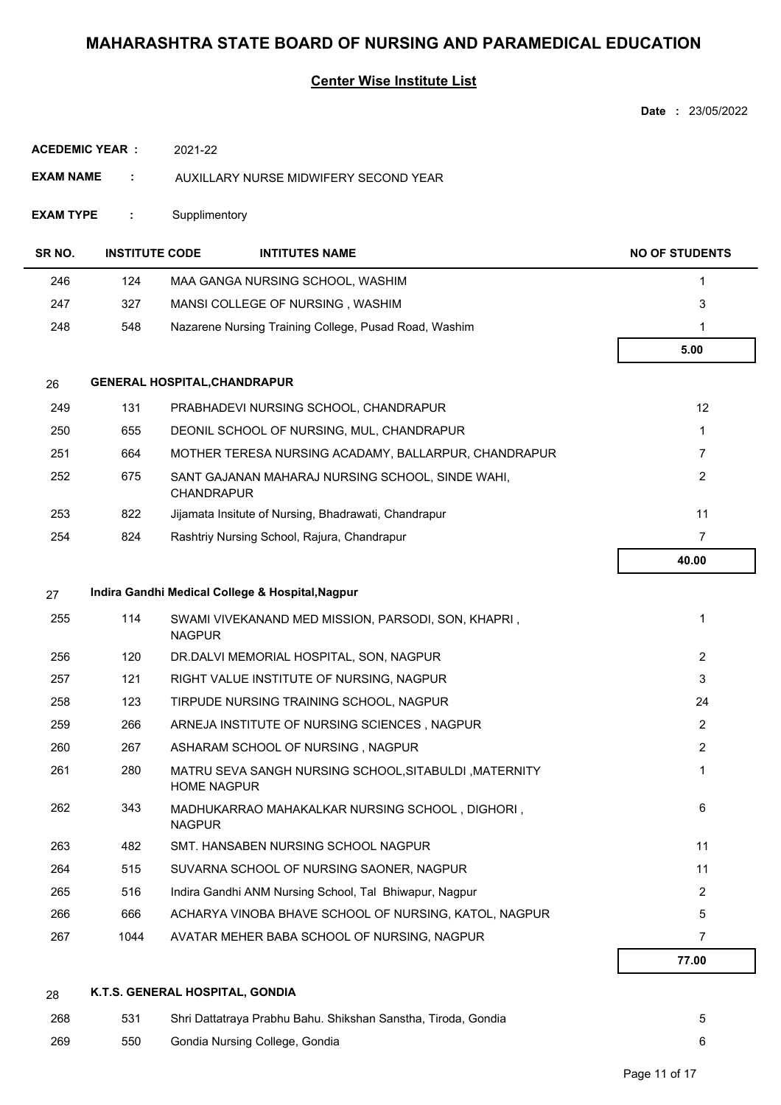### **Center Wise Institute List**

|                        |                       |                                                                             | Date: 23/05/2022      |
|------------------------|-----------------------|-----------------------------------------------------------------------------|-----------------------|
| <b>ACEDEMIC YEAR :</b> |                       | 2021-22                                                                     |                       |
| <b>EXAM NAME</b>       | ÷                     | AUXILLARY NURSE MIDWIFERY SECOND YEAR                                       |                       |
| <b>EXAM TYPE</b>       | ÷                     | Supplimentory                                                               |                       |
| SR <sub>NO</sub> .     | <b>INSTITUTE CODE</b> | <b>INTITUTES NAME</b>                                                       | <b>NO OF STUDENTS</b> |
| 246                    | 124                   | MAA GANGA NURSING SCHOOL, WASHIM                                            | 1                     |
| 247                    | 327                   | MANSI COLLEGE OF NURSING, WASHIM                                            | 3                     |
| 248                    | 548                   | Nazarene Nursing Training College, Pusad Road, Washim                       | 1                     |
|                        |                       |                                                                             | 5.00                  |
| 26                     |                       | <b>GENERAL HOSPITAL, CHANDRAPUR</b>                                         |                       |
| 249                    | 131                   | PRABHADEVI NURSING SCHOOL, CHANDRAPUR                                       | 12                    |
| 250                    | 655                   | DEONIL SCHOOL OF NURSING, MUL, CHANDRAPUR                                   | $\mathbf{1}$          |
| 251                    | 664                   | MOTHER TERESA NURSING ACADAMY, BALLARPUR, CHANDRAPUR                        | $\overline{7}$        |
| 252                    | 675                   | SANT GAJANAN MAHARAJ NURSING SCHOOL, SINDE WAHI,<br><b>CHANDRAPUR</b>       | $\overline{2}$        |
| 253                    | 822                   | Jijamata Insitute of Nursing, Bhadrawati, Chandrapur                        | 11                    |
| 254                    | 824                   | Rashtriy Nursing School, Rajura, Chandrapur                                 | $\overline{7}$        |
|                        |                       |                                                                             | 40.00                 |
| 27                     |                       | Indira Gandhi Medical College & Hospital, Nagpur                            |                       |
| 255                    | 114                   | SWAMI VIVEKANAND MED MISSION, PARSODI, SON, KHAPRI,<br><b>NAGPUR</b>        | 1                     |
| 256                    | 120                   | DR.DALVI MEMORIAL HOSPITAL, SON, NAGPUR                                     | $\overline{2}$        |
| 257                    | 121                   | RIGHT VALUE INSTITUTE OF NURSING, NAGPUR                                    | 3                     |
| 258                    | 123                   | TIRPUDE NURSING TRAINING SCHOOL, NAGPUR                                     | 24                    |
| 259                    | 266                   | ARNEJA INSTITUTE OF NURSING SCIENCES, NAGPUR                                | $\overline{2}$        |
| 260                    | 267                   | ASHARAM SCHOOL OF NURSING, NAGPUR                                           | $\overline{2}$        |
| 261                    | 280                   | MATRU SEVA SANGH NURSING SCHOOL, SITABULDI, MATERNITY<br><b>HOME NAGPUR</b> | $\mathbf{1}$          |
| 262                    | 343                   | MADHUKARRAO MAHAKALKAR NURSING SCHOOL, DIGHORI,<br><b>NAGPUR</b>            | 6                     |
| 263                    | 482                   | SMT. HANSABEN NURSING SCHOOL NAGPUR                                         | 11                    |
| 264                    | 515                   | SUVARNA SCHOOL OF NURSING SAONER, NAGPUR                                    | 11                    |
| 265                    | 516                   | Indira Gandhi ANM Nursing School, Tal Bhiwapur, Nagpur                      | $\overline{2}$        |
| 266                    | 666                   | ACHARYA VINOBA BHAVE SCHOOL OF NURSING, KATOL, NAGPUR                       | $\sqrt{5}$            |
| 267                    | 1044                  | AVATAR MEHER BABA SCHOOL OF NURSING, NAGPUR                                 | $\overline{7}$        |
|                        |                       |                                                                             | 77.00                 |
|                        |                       |                                                                             |                       |

## 28 **K.T.S. GENERAL HOSPITAL, GONDIA**

| 268 | 531 | Shri Dattatraya Prabhu Bahu. Shikshan Sanstha, Tiroda, Gondia |  |
|-----|-----|---------------------------------------------------------------|--|
| 269 | 550 | Gondia Nursing College, Gondia                                |  |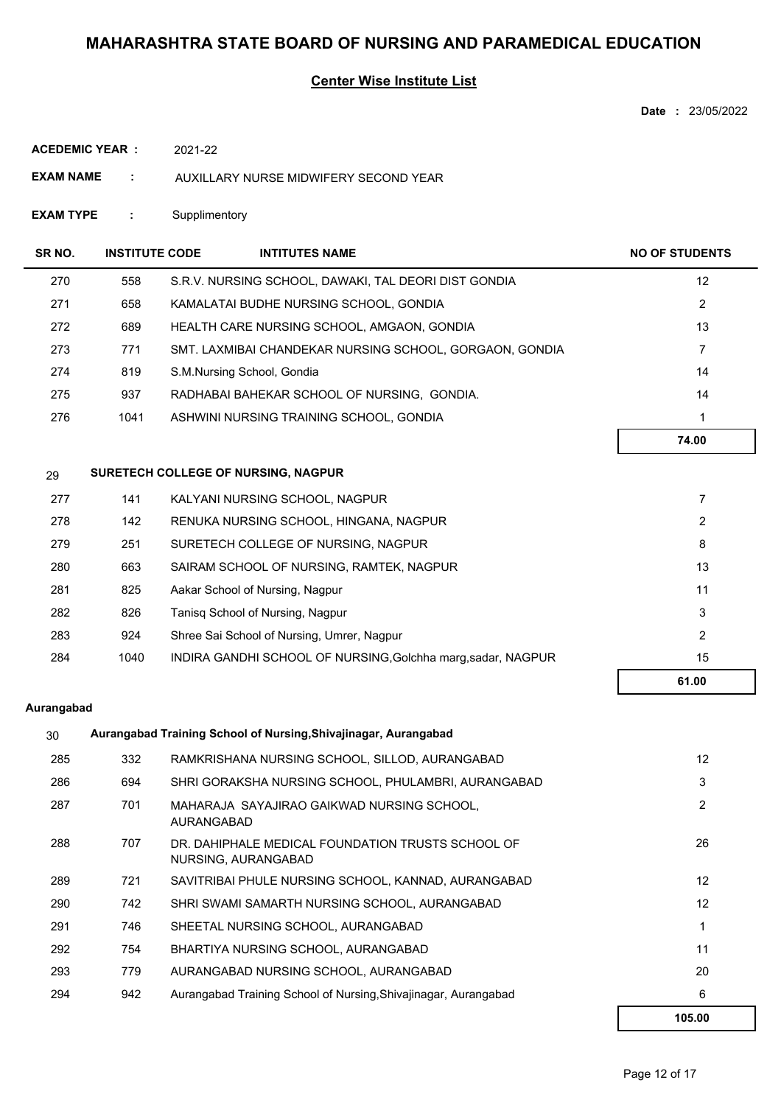### **Center Wise Institute List**

**Date :** 23/05/2022

| <b>ACEDEMIC YEAR :</b> | 2021-22 |
|------------------------|---------|
|                        |         |

- **EXAM NAME :** AUXILLARY NURSE MIDWIFERY SECOND YEAR
- **EXAM TYPE :** Supplimentory

| SR NO. | <b>INSTITUTE CODE</b> | <b>INTITUTES NAME</b>                                        | <b>NO OF STUDENTS</b> |
|--------|-----------------------|--------------------------------------------------------------|-----------------------|
| 270    | 558                   | S.R.V. NURSING SCHOOL, DAWAKI, TAL DEORI DIST GONDIA         | 12                    |
| 271    | 658                   | KAMALATAI BUDHE NURSING SCHOOL, GONDIA                       | 2                     |
| 272    | 689                   | HEALTH CARE NURSING SCHOOL, AMGAON, GONDIA                   | 13                    |
| 273    | 771                   | SMT. LAXMIBAI CHANDEKAR NURSING SCHOOL, GORGAON, GONDIA      | $\overline{7}$        |
| 274    | 819                   | S.M.Nursing School, Gondia                                   | 14                    |
| 275    | 937                   | RADHABAI BAHEKAR SCHOOL OF NURSING, GONDIA.                  | 14                    |
| 276    | 1041                  | ASHWINI NURSING TRAINING SCHOOL, GONDIA                      | 1                     |
|        |                       |                                                              | 74.00                 |
| 29     |                       | SURETECH COLLEGE OF NURSING, NAGPUR                          |                       |
| 277    | 141                   | KALYANI NURSING SCHOOL, NAGPUR                               | $\overline{7}$        |
| 278    | 142                   | RENUKA NURSING SCHOOL, HINGANA, NAGPUR                       | 2                     |
| 279    | 251                   | SURETECH COLLEGE OF NURSING, NAGPUR                          | 8                     |
| 280    | 663                   | SAIRAM SCHOOL OF NURSING, RAMTEK, NAGPUR                     | 13                    |
| 281    | 825                   | Aakar School of Nursing, Nagpur                              | 11                    |
| 282    | 826                   | Tanisq School of Nursing, Nagpur                             | 3                     |
| 283    | 924                   | Shree Sai School of Nursing, Umrer, Nagpur                   | 2                     |
| 284    | 1040                  | INDIRA GANDHI SCHOOL OF NURSING, Golchha marg, sadar, NAGPUR | 15                    |
|        |                       |                                                              | 61.00                 |

#### **Aurangabad**

| 30  | Aurangabad Training School of Nursing, Shivajinagar, Aurangabad |                                                                          |                 |  |  |
|-----|-----------------------------------------------------------------|--------------------------------------------------------------------------|-----------------|--|--|
| 285 | 332                                                             | RAMKRISHANA NURSING SCHOOL, SILLOD, AURANGABAD                           | 12              |  |  |
| 286 | 694                                                             | SHRI GORAKSHA NURSING SCHOOL, PHULAMBRI, AURANGABAD                      | 3               |  |  |
| 287 | 701                                                             | MAHARAJA SAYAJIRAO GAIKWAD NURSING SCHOOL.<br>AURANGABAD                 | 2               |  |  |
| 288 | 707                                                             | DR. DAHIPHALE MEDICAL FOUNDATION TRUSTS SCHOOL OF<br>NURSING, AURANGABAD | 26              |  |  |
| 289 | 721                                                             | SAVITRIBAI PHULE NURSING SCHOOL, KANNAD, AURANGABAD                      | 12 <sup>°</sup> |  |  |
| 290 | 742                                                             | SHRI SWAMI SAMARTH NURSING SCHOOL, AURANGABAD                            | 12              |  |  |
| 291 | 746                                                             | SHEETAL NURSING SCHOOL, AURANGABAD                                       |                 |  |  |
| 292 | 754                                                             | BHARTIYA NURSING SCHOOL, AURANGABAD                                      | 11              |  |  |
| 293 | 779                                                             | AURANGABAD NURSING SCHOOL, AURANGABAD                                    | 20              |  |  |
| 294 | 942                                                             | Aurangabad Training School of Nursing, Shivajinagar, Aurangabad          | 6               |  |  |
|     |                                                                 |                                                                          | 105.00          |  |  |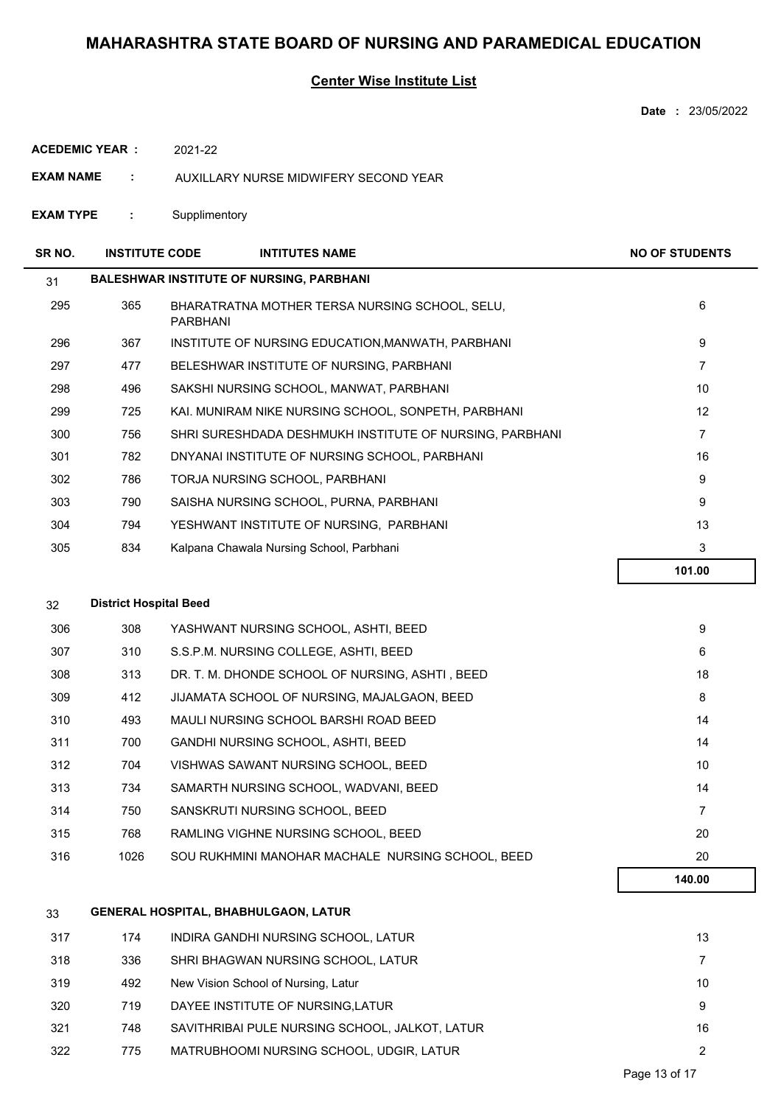### **Center Wise Institute List**

|                        |                               |                                                                   | <b>Date: 23/05/2022</b> |
|------------------------|-------------------------------|-------------------------------------------------------------------|-------------------------|
| <b>ACEDEMIC YEAR :</b> |                               | 2021-22                                                           |                         |
| <b>EXAM NAME</b>       | ÷                             | AUXILLARY NURSE MIDWIFERY SECOND YEAR                             |                         |
| <b>EXAM TYPE</b>       | ÷                             | Supplimentory                                                     |                         |
| SR NO.                 | <b>INSTITUTE CODE</b>         | <b>INTITUTES NAME</b>                                             | <b>NO OF STUDENTS</b>   |
| 31                     |                               | <b>BALESHWAR INSTITUTE OF NURSING, PARBHANI</b>                   |                         |
| 295                    | 365                           | BHARATRATNA MOTHER TERSA NURSING SCHOOL, SELU,<br><b>PARBHANI</b> | 6                       |
| 296                    | 367                           | INSTITUTE OF NURSING EDUCATION, MANWATH, PARBHANI                 | 9                       |
| 297                    | 477                           | BELESHWAR INSTITUTE OF NURSING, PARBHANI                          | 7                       |
| 298                    | 496                           | SAKSHI NURSING SCHOOL, MANWAT, PARBHANI                           | 10                      |
| 299                    | 725                           | KAI. MUNIRAM NIKE NURSING SCHOOL, SONPETH, PARBHANI               | 12                      |
| 300                    | 756                           | SHRI SURESHDADA DESHMUKH INSTITUTE OF NURSING, PARBHANI           | $\overline{7}$          |
| 301                    | 782                           | DNYANAI INSTITUTE OF NURSING SCHOOL, PARBHANI                     | 16                      |
| 302                    | 786                           | TORJA NURSING SCHOOL, PARBHANI                                    | 9                       |
| 303                    | 790                           | SAISHA NURSING SCHOOL, PURNA, PARBHANI                            | 9                       |
| 304                    | 794                           | YESHWANT INSTITUTE OF NURSING, PARBHANI                           | 13                      |
| 305                    | 834                           | Kalpana Chawala Nursing School, Parbhani                          | 3                       |
|                        |                               |                                                                   | 101.00                  |
| 32                     | <b>District Hospital Beed</b> |                                                                   |                         |
| 306                    | 308                           | YASHWANT NURSING SCHOOL, ASHTI, BEED                              | 9                       |
| 307                    | 310                           | S.S.P.M. NURSING COLLEGE, ASHTI, BEED                             | 6                       |
| 308                    | 313                           | DR. T. M. DHONDE SCHOOL OF NURSING, ASHTI, BEED                   | 18                      |
| 309                    | 412                           | JIJAMATA SCHOOL OF NURSING, MAJALGAON, BEED                       | 8                       |
| 310                    | 493                           | MAULI NURSING SCHOOL BARSHI ROAD BEED                             | 14                      |
| 311                    | 700                           | GANDHI NURSING SCHOOL, ASHTI, BEED                                | 14                      |
| 312                    | 704                           | VISHWAS SAWANT NURSING SCHOOL, BEED                               | 10                      |
| 313                    | 734                           | SAMARTH NURSING SCHOOL, WADVANI, BEED                             | 14                      |
| 314                    | 750                           | SANSKRUTI NURSING SCHOOL, BEED                                    | $\overline{7}$          |
| 315                    | 768                           | RAMLING VIGHNE NURSING SCHOOL, BEED                               | 20                      |
| 316                    | 1026                          | SOU RUKHMINI MANOHAR MACHALE NURSING SCHOOL, BEED                 | 20                      |
|                        |                               |                                                                   | 140.00                  |
| 33                     |                               | <b>GENERAL HOSPITAL, BHABHULGAON, LATUR</b>                       |                         |
| 317                    | 174                           | INDIRA GANDHI NURSING SCHOOL, LATUR                               | 13                      |
| 318                    | 336                           | SHRI BHAGWAN NURSING SCHOOL, LATUR                                | $\overline{7}$          |
| 319                    | 492                           | New Vision School of Nursing, Latur                               | 10                      |
| 320                    | 719                           | DAYEE INSTITUTE OF NURSING, LATUR                                 | 9                       |
| 321                    | 748                           | SAVITHRIBAI PULE NURSING SCHOOL, JALKOT, LATUR                    | 16                      |
|                        |                               |                                                                   |                         |

322 775 MATRUBHOOMI NURSING SCHOOL, UDGIR, LATUR 2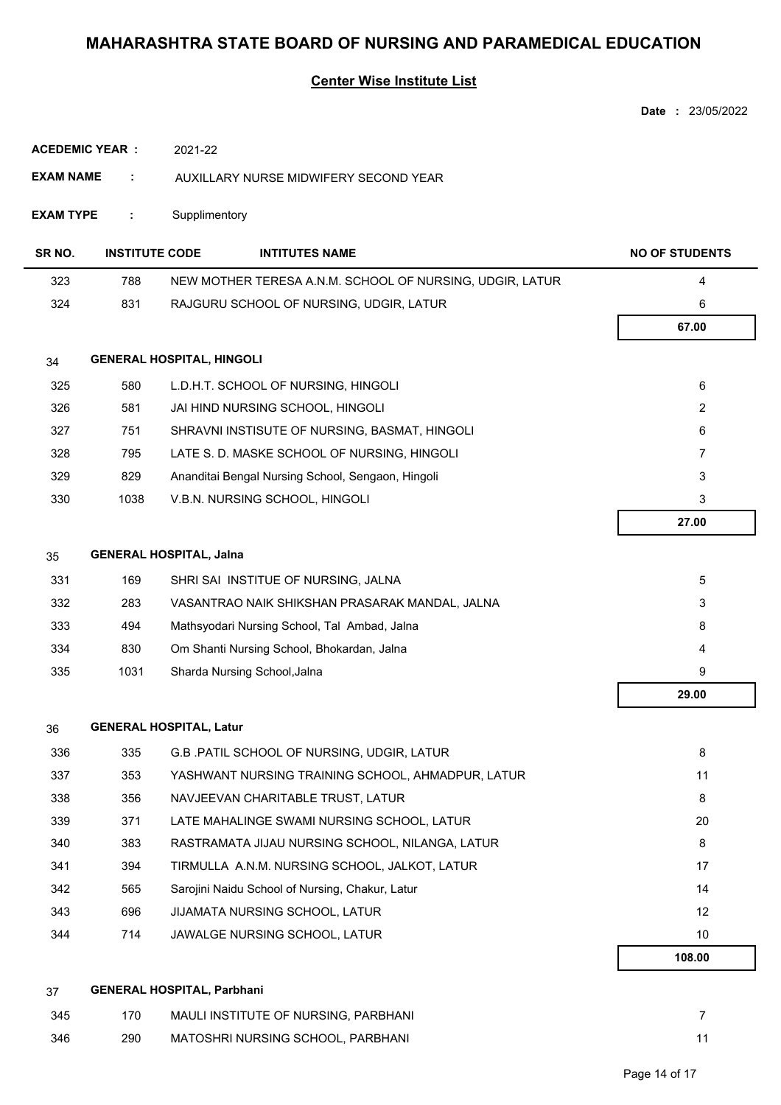## **Center Wise Institute List**

|                        |                       |                                                          | Date: 23/05/2022      |
|------------------------|-----------------------|----------------------------------------------------------|-----------------------|
| <b>ACEDEMIC YEAR :</b> |                       | 2021-22                                                  |                       |
| EXAM NAME              | ÷                     | AUXILLARY NURSE MIDWIFERY SECOND YEAR                    |                       |
| <b>EXAM TYPE</b>       | ÷                     | Supplimentory                                            |                       |
| SR NO.                 | <b>INSTITUTE CODE</b> | <b>INTITUTES NAME</b>                                    | <b>NO OF STUDENTS</b> |
| 323                    | 788                   | NEW MOTHER TERESA A.N.M. SCHOOL OF NURSING, UDGIR, LATUR | 4                     |
| 324                    | 831                   | RAJGURU SCHOOL OF NURSING, UDGIR, LATUR                  | 6                     |
|                        |                       |                                                          | 67.00                 |
| 34                     |                       | <b>GENERAL HOSPITAL, HINGOLI</b>                         |                       |
| 325                    | 580                   | L.D.H.T. SCHOOL OF NURSING, HINGOLI                      | 6                     |
| 326                    | 581                   | JAI HIND NURSING SCHOOL, HINGOLI                         | $\overline{2}$        |
| 327                    | 751                   | SHRAVNI INSTISUTE OF NURSING, BASMAT, HINGOLI            | 6                     |
| 328                    | 795                   | LATE S. D. MASKE SCHOOL OF NURSING, HINGOLI              | 7                     |
| 329                    | 829                   | Ananditai Bengal Nursing School, Sengaon, Hingoli        | 3                     |
| 330                    | 1038                  | V.B.N. NURSING SCHOOL, HINGOLI                           | 3                     |
|                        |                       |                                                          | 27.00                 |
| 35                     |                       | <b>GENERAL HOSPITAL, Jalna</b>                           |                       |
| 331                    | 169                   | SHRI SAI INSTITUE OF NURSING, JALNA                      | 5                     |
| 332                    | 283                   | VASANTRAO NAIK SHIKSHAN PRASARAK MANDAL, JALNA           | 3                     |
| 333                    | 494                   | Mathsyodari Nursing School, Tal Ambad, Jalna             | 8                     |
| 334                    | 830                   | Om Shanti Nursing School, Bhokardan, Jalna               | 4                     |
| 335                    | 1031                  | Sharda Nursing School, Jalna                             | 9                     |
|                        |                       |                                                          | 29.00                 |
| 36                     |                       | <b>GENERAL HOSPITAL, Latur</b>                           |                       |
| 336                    | 335                   | G.B. PATIL SCHOOL OF NURSING, UDGIR, LATUR               | 8                     |
| 337                    | 353                   | YASHWANT NURSING TRAINING SCHOOL, AHMADPUR, LATUR        | 11                    |
| 338                    | 356                   | NAVJEEVAN CHARITABLE TRUST, LATUR                        | 8                     |
| 339                    | 371                   | LATE MAHALINGE SWAMI NURSING SCHOOL, LATUR               | 20                    |
| 340                    | 383                   | RASTRAMATA JIJAU NURSING SCHOOL, NILANGA, LATUR          | 8                     |
| 341                    | 394                   | TIRMULLA A.N.M. NURSING SCHOOL, JALKOT, LATUR            | 17                    |
| 342                    | 565                   | Sarojini Naidu School of Nursing, Chakur, Latur          | 14                    |
| 343                    | 696                   | JIJAMATA NURSING SCHOOL, LATUR                           | 12                    |
| 344                    | 714                   | JAWALGE NURSING SCHOOL, LATUR                            | 10                    |
|                        |                       |                                                          | 108.00                |
| 37                     |                       | <b>GENERAL HOSPITAL, Parbhani</b>                        |                       |
| 345                    | 170                   | MAULI INSTITUTE OF NURSING, PARBHANI                     | $\overline{7}$        |
| 346                    | 290                   | MATOSHRI NURSING SCHOOL, PARBHANI                        | 11                    |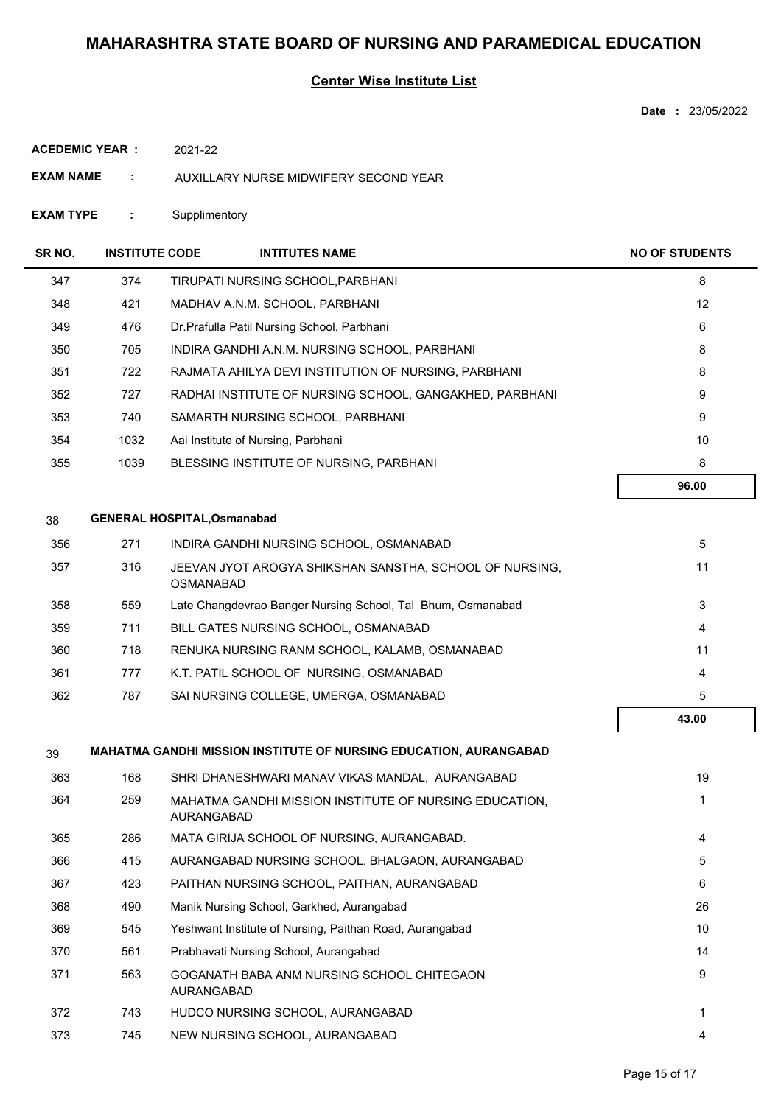### **Center Wise Institute List**

**Date :** 23/05/2022

| ACEDEMIC YEAR : |  | 2021-22 |
|-----------------|--|---------|
|                 |  |         |

- **EXAM NAME :** AUXILLARY NURSE MIDWIFERY SECOND YEAR
- **EXAM TYPE :** Supplimentory

| SR NO. | <b>INSTITUTE CODE</b> | <b>INTITUTES NAME</b>                                                       | <b>NO OF STUDENTS</b> |
|--------|-----------------------|-----------------------------------------------------------------------------|-----------------------|
| 347    | 374                   | TIRUPATI NURSING SCHOOL, PARBHANI                                           | 8                     |
| 348    | 421                   | MADHAV A.N.M. SCHOOL, PARBHANI                                              | 12                    |
| 349    | 476                   | Dr. Prafulla Patil Nursing School, Parbhani                                 | 6                     |
| 350    | 705                   | INDIRA GANDHI A.N.M. NURSING SCHOOL, PARBHANI                               | 8                     |
| 351    | 722                   | RAJMATA AHILYA DEVI INSTITUTION OF NURSING, PARBHANI                        | 8                     |
| 352    | 727                   | RADHAI INSTITUTE OF NURSING SCHOOL, GANGAKHED, PARBHANI                     | 9                     |
| 353    | 740                   | SAMARTH NURSING SCHOOL, PARBHANI                                            | 9                     |
| 354    | 1032                  | Aai Institute of Nursing, Parbhani                                          | 10                    |
| 355    | 1039                  | BLESSING INSTITUTE OF NURSING, PARBHANI                                     | 8                     |
|        |                       |                                                                             | 96.00                 |
| 38     |                       | <b>GENERAL HOSPITAL, Osmanabad</b>                                          |                       |
| 356    | 271                   | INDIRA GANDHI NURSING SCHOOL, OSMANABAD                                     | 5                     |
| 357    | 316                   | JEEVAN JYOT AROGYA SHIKSHAN SANSTHA, SCHOOL OF NURSING,<br><b>OSMANABAD</b> | 11                    |
| 358    | 559                   | Late Changdevrao Banger Nursing School, Tal Bhum, Osmanabad                 | 3                     |
| 359    | 711                   | BILL GATES NURSING SCHOOL, OSMANABAD                                        | 4                     |
| 360    | 718                   | RENUKA NURSING RANM SCHOOL, KALAMB, OSMANABAD                               | 11                    |
| 361    | 777                   | K.T. PATIL SCHOOL OF NURSING, OSMANABAD                                     | 4                     |
| 362    | 787                   | SAI NURSING COLLEGE, UMERGA, OSMANABAD                                      | 5                     |
|        |                       |                                                                             | 43.00                 |
| 39     |                       | <b>MAHATMA GANDHI MISSION INSTITUTE OF NURSING EDUCATION, AURANGABAD</b>    |                       |
| 363    | 168                   | SHRI DHANESHWARI MANAV VIKAS MANDAL, AURANGABAD                             | 19                    |
| 364    | 259                   | MAHATMA GANDHI MISSION INSTITUTE OF NURSING EDUCATION,<br>AURANGABAD        | 1                     |
| 365    | 286                   | MATA GIRIJA SCHOOL OF NURSING, AURANGABAD.                                  | 4                     |
| 366    | 415                   | AURANGABAD NURSING SCHOOL, BHALGAON, AURANGABAD                             | 5                     |
| 367    | 423                   | PAITHAN NURSING SCHOOL, PAITHAN, AURANGABAD                                 | 6                     |
| 368    | 490                   | Manik Nursing School, Garkhed, Aurangabad                                   | 26                    |
| 369    | 545                   | Yeshwant Institute of Nursing, Paithan Road, Aurangabad                     | 10                    |
| 370    | 561                   | Prabhavati Nursing School, Aurangabad                                       | 14                    |
| 371    | 563                   | GOGANATH BABA ANM NURSING SCHOOL CHITEGAON<br>AURANGABAD                    | 9                     |
| 372    | 743                   | HUDCO NURSING SCHOOL, AURANGABAD                                            | 1                     |

373 745 NEW NURSING SCHOOL, AURANGABAD 4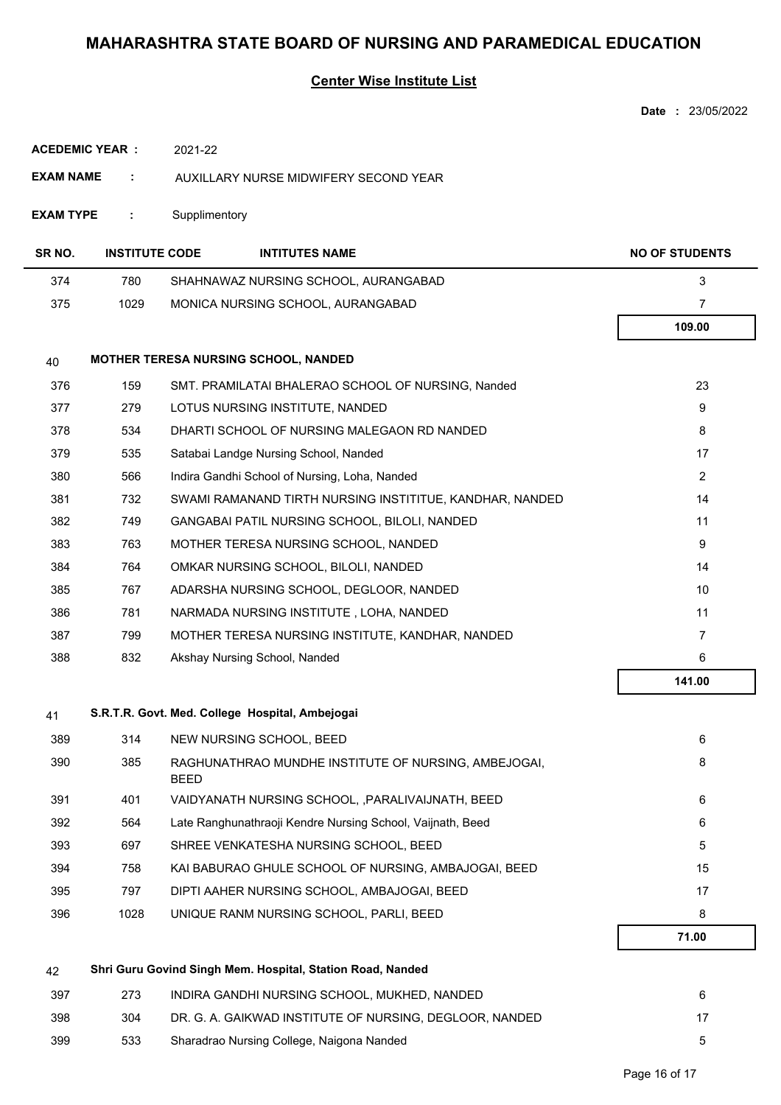### **Center Wise Institute List**

|                        |                       |               |                                                            | <b>Date: 23/05/2022</b> |
|------------------------|-----------------------|---------------|------------------------------------------------------------|-------------------------|
| <b>ACEDEMIC YEAR :</b> |                       | 2021-22       |                                                            |                         |
| <b>EXAM NAME</b>       | ÷                     |               | AUXILLARY NURSE MIDWIFERY SECOND YEAR                      |                         |
| <b>EXAM TYPE</b>       | ÷                     | Supplimentory |                                                            |                         |
| SR <sub>NO</sub> .     | <b>INSTITUTE CODE</b> |               | <b>INTITUTES NAME</b>                                      | <b>NO OF STUDENTS</b>   |
| 374                    | 780                   |               | SHAHNAWAZ NURSING SCHOOL, AURANGABAD                       | 3                       |
| 375                    | 1029                  |               | MONICA NURSING SCHOOL, AURANGABAD                          | 7                       |
|                        |                       |               |                                                            | 109.00                  |
| 40                     |                       |               | MOTHER TERESA NURSING SCHOOL, NANDED                       |                         |
| 376                    | 159                   |               | SMT. PRAMILATAI BHALERAO SCHOOL OF NURSING, Nanded         | 23                      |
| 377                    | 279                   |               | LOTUS NURSING INSTITUTE, NANDED                            | 9                       |
| 378                    | 534                   |               | DHARTI SCHOOL OF NURSING MALEGAON RD NANDED                | 8                       |
| 379                    | 535                   |               | Satabai Landge Nursing School, Nanded                      | 17                      |
| 380                    | 566                   |               | Indira Gandhi School of Nursing, Loha, Nanded              | 2                       |
| 381                    | 732                   |               | SWAMI RAMANAND TIRTH NURSING INSTITITUE, KANDHAR, NANDED   | 14                      |
| 382                    | 749                   |               | GANGABAI PATIL NURSING SCHOOL, BILOLI, NANDED              | 11                      |
| 383                    | 763                   |               | MOTHER TERESA NURSING SCHOOL, NANDED                       | 9                       |
| 384                    | 764                   |               | OMKAR NURSING SCHOOL, BILOLI, NANDED                       | 14                      |
| 385                    | 767                   |               | ADARSHA NURSING SCHOOL, DEGLOOR, NANDED                    | 10                      |
| 386                    | 781                   |               | NARMADA NURSING INSTITUTE, LOHA, NANDED                    | 11                      |
| 387                    | 799                   |               | MOTHER TERESA NURSING INSTITUTE, KANDHAR, NANDED           | $\overline{7}$          |
| 388                    | 832                   |               | Akshay Nursing School, Nanded                              | 6                       |
|                        |                       |               |                                                            | 141.00                  |
| 41                     |                       |               | S.R.T.R. Govt. Med. College Hospital, Ambejogai            |                         |
| 389                    | 314                   |               | NEW NURSING SCHOOL, BEED                                   | 6                       |
| 390                    | 385                   | <b>BEED</b>   | RAGHUNATHRAO MUNDHE INSTITUTE OF NURSING, AMBEJOGAI,       | 8                       |
| 391                    | 401                   |               | VAIDYANATH NURSING SCHOOL, , PARALIVAIJNATH, BEED          | 6                       |
| 392                    | 564                   |               | Late Ranghunathraoji Kendre Nursing School, Vaijnath, Beed | 6                       |
| 393                    | 697                   |               | SHREE VENKATESHA NURSING SCHOOL, BEED                      | 5                       |
| 394                    | 758                   |               | KAI BABURAO GHULE SCHOOL OF NURSING, AMBAJOGAI, BEED       | 15                      |
| 395                    | 797                   |               | DIPTI AAHER NURSING SCHOOL, AMBAJOGAI, BEED                | 17                      |
| 396                    | 1028                  |               | UNIQUE RANM NURSING SCHOOL, PARLI, BEED                    | 8                       |
|                        |                       |               |                                                            | 71.00                   |
| 42                     |                       |               | Shri Guru Govind Singh Mem. Hospital, Station Road, Nanded |                         |
| 397                    | 273                   |               | INDIRA GANDHI NURSING SCHOOL, MUKHED, NANDED               | 6                       |
| 398                    | 304                   |               | DR. G. A. GAIKWAD INSTITUTE OF NURSING, DEGLOOR, NANDED    | 17                      |

399 533 Sharadrao Nursing College, Naigona Nanded 5